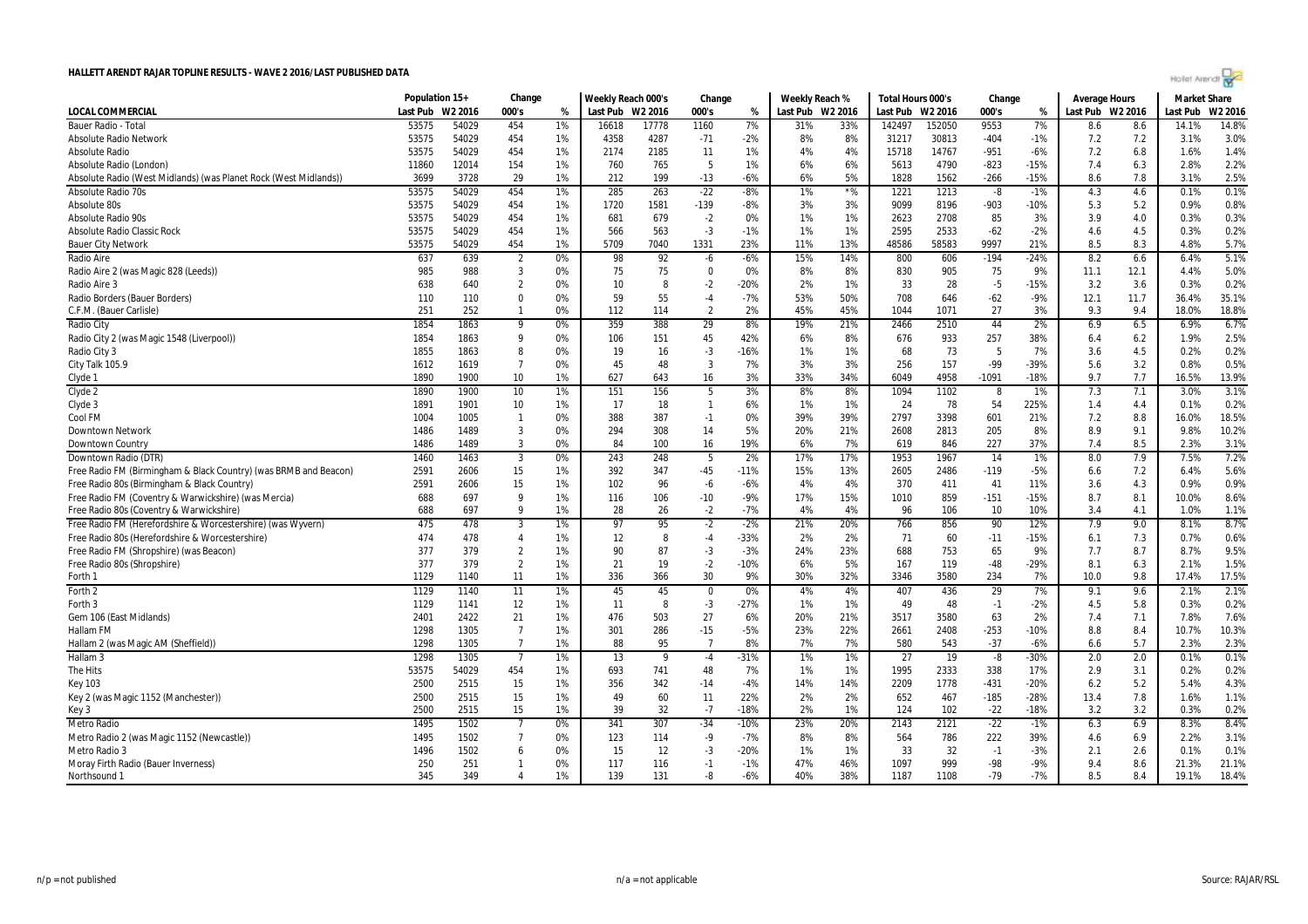|  | Hollet Arendi por |  |  |
|--|-------------------|--|--|
|  |                   |  |  |

|                                                                  | Population 15+ |                     | Change         |    | Weekly Reach 000's |       | Change         |        | Weekly Reach % |                  | Total Hours 000's |        | Change |        | Average Hours    |      | <b>Market Share</b> |         |
|------------------------------------------------------------------|----------------|---------------------|----------------|----|--------------------|-------|----------------|--------|----------------|------------------|-------------------|--------|--------|--------|------------------|------|---------------------|---------|
| <b>LOCAL COMMERCIAL</b>                                          | Last Pub       | W <sub>2</sub> 2016 | 000's          | %  | Last Pub W2 2016   |       | 000's          | %      |                | Last Pub W2 2016 | Last Pub W2 2016  |        | 000's  | %      | Last Pub W2 2016 |      | Last Pub            | W2 2016 |
| Bauer Radio - Tota                                               | 53575          | 54029               | 454            | 1% | 16618              | 17778 | 1160           | 7%     | 31%            | 33%              | 142497            | 152050 | 9553   | 7%     | 8.6              | 8.6  | 14.1%               | 14.8%   |
| <b>Absolute Radio Network</b>                                    | 53575          | 54029               | 454            | 1% | 4358               | 4287  | $-71$          | $-2%$  | 8%             | 8%               | 31217             | 30813  | $-404$ | $-1%$  | 7.2              | 7.2  | 3.1%                | 3.0%    |
| Absolute Radio                                                   | 53575          | 54029               | 454            | 1% | 2174               | 2185  | 11             | 1%     | 4%             | 4%               | 15718             | 14767  | $-951$ | $-6%$  | 7.2              | 6.8  | 1.6%                | 1.4%    |
| Absolute Radio (London)                                          | 11860          | 12014               | 154            | 1% | 760                | 765   | 5              | 1%     | 6%             | 6%               | 5613              | 4790   | $-823$ | $-15%$ | 7.4              | 6.3  | 2.8%                | 2.2%    |
| Absolute Radio (West Midlands) (was Planet Rock (West Midlands)) | 3699           | 3728                | 29             | 1% | 212                | 199   | $-13$          | $-6%$  | 6%             | 5%               | 1828              | 1562   | $-266$ | $-15%$ | 8.6              | 7.8  | 3.1%                | 2.5%    |
| Absolute Radio 70s                                               | 53575          | 54029               | 454            | 1% | 285                | 263   | $-22$          | $-8%$  | 1%             | $*$ %            | 1221              | 1213   | -8     | $-1%$  | 4.3              | 4.6  | 0.1%                | 0.1%    |
| Absolute 80s                                                     | 53575          | 54029               | 454            | 1% | 1720               | 1581  | $-139$         | $-8%$  | 3%             | 3%               | 9099              | 8196   | $-903$ | $-10%$ | 5.3              | 5.2  | 0.9%                | 0.8%    |
| Absolute Radio 90s                                               | 53575          | 54029               | 454            | 1% | 681                | 679   | $-2$           | 0%     | 1%             | 1%               | 2623              | 2708   | 85     | 3%     | 3.9              | 4.0  | 0.3%                | 0.3%    |
| <b>Absolute Radio Classic Rock</b>                               | 53575          | 54029               | 454            | 1% | 566                | 563   | $-3$           | $-1%$  | 1%             | 1%               | 2595              | 2533   | $-62$  | $-2%$  | 4.6              | 4.5  | 0.3%                | 0.2%    |
| <b>Bauer City Network</b>                                        | 53575          | 54029               | 454            | 1% | 5709               | 7040  | 1331           | 23%    | 11%            | 13%              | 48586             | 58583  | 9997   | 21%    | 8.5              | 8.3  | 4.8%                | 5.7%    |
| Radio Aire                                                       | 637            | 639                 | $\overline{2}$ | 0% | 98                 | 92    | -6             | $-6%$  | 15%            | 14%              | 800               | 606    | $-194$ | $-24%$ | 8.2              | 6.6  | 6.4%                | 5.1%    |
| Radio Aire 2 (was Magic 828 (Leeds))                             | 985            | 988                 | 3              | 0% | 75                 | 75    | $\mathbf 0$    | 0%     | 8%             | 8%               | 830               | 905    | 75     | 9%     | 11.1             | 12.1 | 4.4%                | 5.0%    |
| Radio Aire 3                                                     | 638            | 640                 | $\overline{2}$ | 0% | 10                 | 8     | $-2$           | $-20%$ | 2%             | 1%               | 33                | 28     | $-5$   | $-15%$ | 3.2              | 3.6  | 0.3%                | 0.2%    |
| Radio Borders (Bauer Borders)                                    | 110            | 110                 | $\Omega$       | 0% | 59                 | 55    | $-4$           | $-7%$  | 53%            | 50%              | 708               | 646    | $-62$  | $-9%$  | 12.1             | 11.7 | 36.4%               | 35.1%   |
| C.F.M. (Bauer Carlisle)                                          | 251            | 252                 | $\mathbf{1}$   | 0% | 112                | 114   | $\overline{2}$ | 2%     | 45%            | 45%              | 1044              | 1071   | 27     | 3%     | 9.3              | 9.4  | 18.0%               | 18.8%   |
| Radio City                                                       | 1854           | 1863                | 9              | 0% | 359                | 388   | 29             | 8%     | 19%            | 21%              | 2466              | 2510   | 44     | 2%     | 6.9              | 6.5  | 6.9%                | 6.7%    |
| Radio City 2 (was Magic 1548 (Liverpool))                        | 1854           | 1863                | 9              | 0% | 106                | 151   | 45             | 42%    | 6%             | 8%               | 676               | 933    | 257    | 38%    | 6.4              | 6.2  | 1.9%                | 2.5%    |
| Radio City 3                                                     | 1855           | 1863                | 8              | 0% | 19                 | 16    | $-3$           | $-16%$ | 1%             | 1%               | 68                | 73     | 5      | 7%     | 3.6              | 4.5  | 0.2%                | 0.2%    |
| City Talk 105.9                                                  | 1612           | 1619                | $\overline{7}$ | 0% | 45                 | 48    | 3              | 7%     | 3%             | 3%               | 256               | 157    | -99    | $-39%$ | 5.6              | 3.2  | 0.8%                | 0.5%    |
| Clyde 1                                                          | 1890           | 1900                | 10             | 1% | 627                | 643   | 16             | 3%     | 33%            | 34%              | 6049              | 4958   | -1091  | $-18%$ | 9.7              | 7.7  | 16.5%               | 13.9%   |
| Clyde 2                                                          | 1890           | 1900                | 10             | 1% | 151                | 156   | 5              | 3%     | 8%             | 8%               | 1094              | 1102   | 8      | 1%     | 7.3              | 7.1  | 3.0%                | 3.1%    |
| Clyde 3                                                          | 1891           | 1901                | 10             | 1% | 17                 | 18    | $\mathbf{1}$   | 6%     | 1%             | 1%               | 24                | 78     | 54     | 225%   | 1.4              | 4.4  | 0.1%                | 0.2%    |
| Cool FM                                                          | 1004           | 1005                | $\mathbf{1}$   | 0% | 388                | 387   | $-1$           | 0%     | 39%            | 39%              | 2797              | 3398   | 601    | 21%    | 7.2              | 8.8  | 16.0%               | 18.5%   |
| <b>Downtown Network</b>                                          | 1486           | 1489                | 3              | 0% | 294                | 308   | 14             | 5%     | 20%            | 21%              | 2608              | 2813   | 205    | 8%     | 8.9              | 9.1  | 9.8%                | 10.2%   |
| Downtown Country                                                 | 1486           | 1489                | 3              | 0% | 84                 | 100   | 16             | 19%    | 6%             | 7%               | 619               | 846    | 227    | 37%    | 7.4              | 8.5  | 2.3%                | 3.1%    |
| Downtown Radio (DTR)                                             | 1460           | 1463                | 3              | 0% | 243                | 248   | 5              | 2%     | 17%            | 17%              | 1953              | 1967   | 14     | 1%     | 8.0              | 7.9  | 7.5%                | 7.2%    |
| Free Radio FM (Birmingham & Black Country) (was BRMB and Beacon) | 2591           | 2606                | 15             | 1% | 392                | 347   | $-45$          | $-11%$ | 15%            | 13%              | 2605              | 2486   | $-119$ | $-5%$  | 6.6              | 7.2  | 6.4%                | 5.6%    |
| Free Radio 80s (Birmingham & Black Country)                      | 2591           | 2606                | 15             | 1% | 102                | 96    | -6             | $-6%$  | 4%             | 4%               | 370               | 411    | 41     | 11%    | 3.6              | 4.3  | 0.9%                | 0.9%    |
| Free Radio FM (Coventry & Warwickshire) (was Mercia)             | 688            | 697                 | $\mathbf{q}$   | 1% | 116                | 106   | $-10$          | $-9%$  | 17%            | 15%              | 1010              | 859    | $-151$ | $-15%$ | 8.7              | 8.1  | 10.0%               | 8.6%    |
| Free Radio 80s (Coventry & Warwickshire)                         | 688            | 697                 | 9              | 1% | 28                 | 26    | $-2$           | $-7%$  | 4%             | 4%               | 96                | 106    | 10     | 10%    | 3.4              | 4.1  | 1.0%                | 1.1%    |
| Free Radio FM (Herefordshire & Worcestershire) (was Wyvern)      | 475            | 478                 | 3              | 1% | 97                 | 95    | $-2$           | $-2%$  | 21%            | 20%              | 766               | 856    | 90     | 12%    | 7.9              | 9.0  | 8.1%                | 8.7%    |
| Free Radio 80s (Herefordshire & Worcestershire)                  | 474            | 478                 | $\overline{4}$ | 1% | 12                 | 8     | -4             | $-33%$ | 2%             | 2%               | 71                | 60     | $-11$  | $-15%$ | 6.1              | 7.3  | 0.7%                | 0.6%    |
| Free Radio FM (Shropshire) (was Beacon)                          | 377            | 379                 | $\overline{2}$ | 1% | 90                 | 87    | -3             | $-3%$  | 24%            | 23%              | 688               | 753    | 65     | 9%     | 7.7              | 8.7  | 8.7%                | 9.5%    |
| Free Radio 80s (Shropshire)                                      | 377            | 379                 | $\overline{2}$ | 1% | 21                 | 19    | $-2$           | $-10%$ | 6%             | 5%               | 167               | 119    | $-48$  | $-29%$ | 8.1              | 6.3  | 2.1%                | 1.5%    |
| Forth 1                                                          | 1129           | 1140                | 11             | 1% | 336                | 366   | 30             | 9%     | 30%            | 32%              | 3346              | 3580   | 234    | 7%     | 10.0             | 9.8  | 17.4%               | 17.5%   |
| Forth 2                                                          | 1129           | 1140                | 11             | 1% | 45                 | 45    | $\Omega$       | 0%     | 4%             | 4%               | 407               | 436    | 29     | 7%     | 9.1              | 9.6  | 2.1%                | 2.1%    |
| Forth 3                                                          | 1129           | 1141                | 12             | 1% | 11                 | 8     | $-3$           | $-27%$ | 1%             | 1%               | 49                | 48     | $-1$   | $-2%$  | 4.5              | 5.8  | 0.3%                | 0.2%    |
| Gem 106 (East Midlands)                                          | 2401           | 2422                | 21             | 1% | 476                | 503   | 27             | 6%     | 20%            | 21%              | 3517              | 3580   | 63     | 2%     | 7.4              | 7.1  | 7.8%                | 7.6%    |
| Hallam FM                                                        | 1298           | 1305                | $\overline{7}$ | 1% | 301                | 286   | $-15$          | $-5%$  | 23%            | 22%              | 2661              | 2408   | $-253$ | $-10%$ | 8.8              | 8.4  | 10.7%               | 10.3%   |
| Hallam 2 (was Magic AM (Sheffield))                              | 1298           | 1305                | $\overline{7}$ | 1% | 88                 | 95    | $\overline{7}$ | 8%     | 7%             | 7%               | 580               | 543    | $-37$  | $-6%$  | 6.6              | 5.7  | 2.3%                | 2.3%    |
| Hallam <sub>3</sub>                                              | 1298           | 1305                | $\overline{7}$ | 1% | 13                 | 9     | $-4$           | $-31%$ | 1%             | 1%               | 27                | 19     | -8     | $-30%$ | 2.0              | 2.0  | 0.1%                | 0.1%    |
| The Hits                                                         | 53575          | 54029               | 454            | 1% | 693                | 741   | 48             | 7%     | 1%             | 1%               | 1995              | 2333   | 338    | 17%    | 2.9              | 3.1  | 0.2%                | 0.2%    |
| <b>Key 103</b>                                                   | 2500           | 2515                | 15             | 1% | 356                | 342   | $-14$          | $-4%$  | 14%            | 14%              | 2209              | 1778   | $-431$ | $-20%$ | 6.2              | 5.2  | 5.4%                | 4.3%    |
| Key 2 (was Magic 1152 (Manchester))                              | 2500           | 2515                | 15             | 1% | 49                 | 60    | 11             | 22%    | 2%             | 2%               | 652               | 467    | $-185$ | $-28%$ | 13.4             | 7.8  | 1.6%                | 1.1%    |
| Key 3                                                            | 2500           | 2515                | 15             | 1% | 39                 | 32    | $-7$           | $-18%$ | 2%             | 1%               | 124               | 102    | $-22$  | $-18%$ | 3.2              | 3.2  | 0.3%                | 0.2%    |
| Metro Radio                                                      | 1495           | 1502                | $\overline{7}$ | 0% | 341                | 307   | $-34$          | $-10%$ | 23%            | 20%              | 2143              | 2121   | $-22$  | $-1%$  | 6.3              | 6.9  | 8.3%                | 8.4%    |
| Metro Radio 2 (was Magic 1152 (Newcastle))                       | 1495           | 1502                | $\overline{7}$ | 0% | 123                | 114   | $-9$           | $-7%$  | 8%             | 8%               | 564               | 786    | 222    | 39%    | 4.6              | 6.9  | 2.2%                | 3.1%    |
| Metro Radio 3                                                    | 1496           | 1502                | 6              | 0% | 15                 | 12    | $-3$           | $-20%$ | 1%             | 1%               | 33                | 32     | $-1$   | $-3%$  | 2.1              | 2.6  | 0.1%                | 0.1%    |
| Moray Firth Radio (Bauer Inverness)                              | 250            | 251                 | $\mathbf{1}$   | 0% | 117                | 116   | $-1$           | $-1%$  | 47%            | 46%              | 1097              | 999    | $-98$  | $-9%$  | 9.4              | 8.6  | 21.3%               | 21.1%   |
| Northsound 1                                                     | 345            | 349                 | $\overline{4}$ | 1% | 139                | 131   | -8             | $-6%$  | 40%            | 38%              | 1187              | 1108   | $-79$  | $-7%$  | 8.5              | 8.4  | 19.1%               | 18.4%   |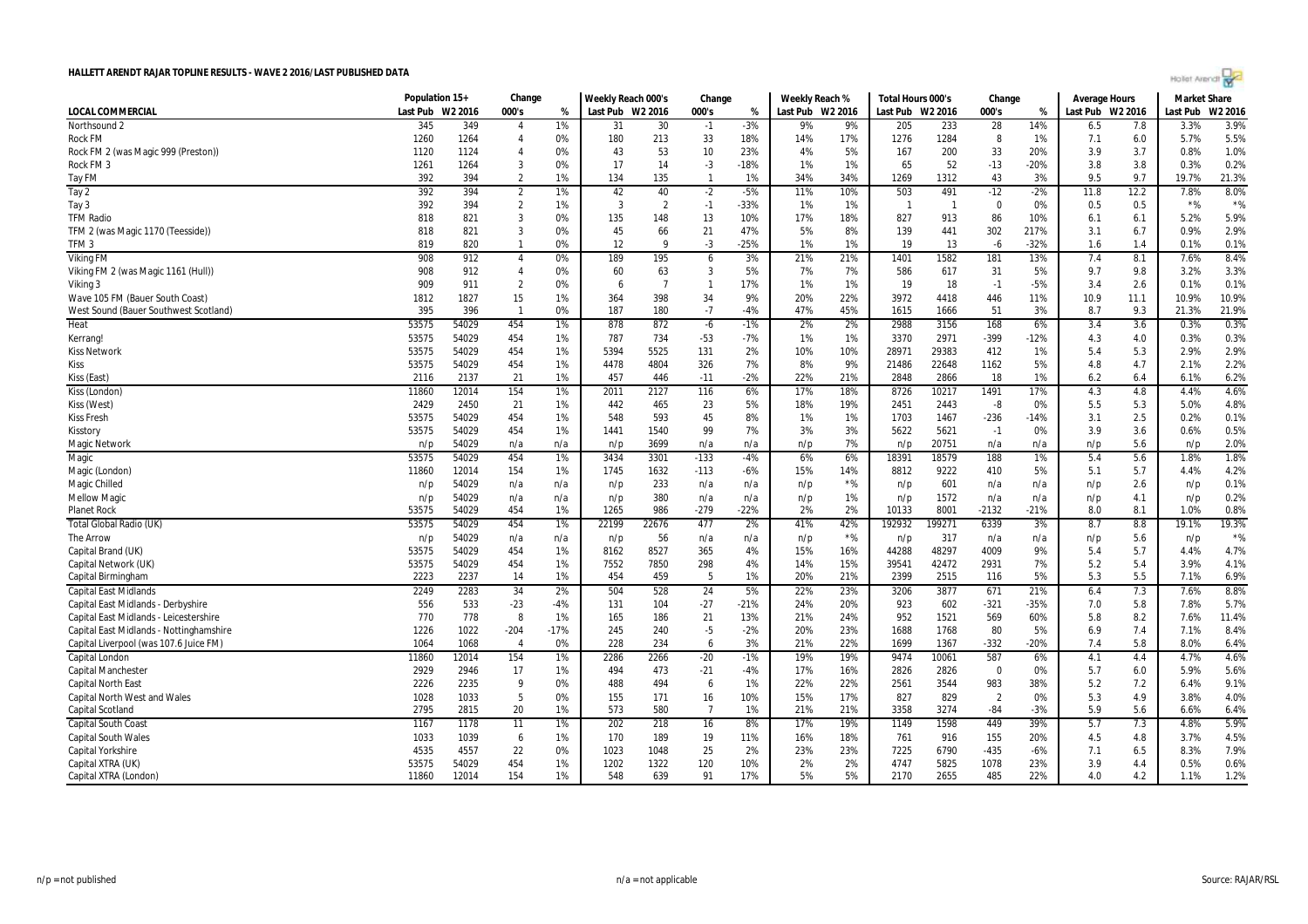| Hollet Arendi por |  |  |  |
|-------------------|--|--|--|
|                   |  |  |  |

|                                         | Population 15+ |         | Change         |        | Weekly Reach 000's |                | Change         |        | Weekly Reach % |                  | Total Hours 000's |        | Change         |        | <b>Average Hours</b> |      | <b>Market Share</b> |         |
|-----------------------------------------|----------------|---------|----------------|--------|--------------------|----------------|----------------|--------|----------------|------------------|-------------------|--------|----------------|--------|----------------------|------|---------------------|---------|
| LOCAL COMMERCIAL                        | Last Pub       | W2 2016 | 000's          | %      | Last Pub W2 2016   |                | 000's          | %      |                | Last Pub W2 2016 | Last Pub W2 2016  |        | 000's          | %      | Last Pub W2 2016     |      | Last Pub            | W2 2016 |
| Northsound 2                            | 345            | 349     | 4              | 1%     | 31                 | 30             | $-1$           | $-3%$  | 9%             | 9%               | 205               | 233    | 28             | 14%    | 6.5                  | 7.8  | 3.3%                | 3.9%    |
| <b>Rock FM</b>                          | 1260           | 1264    | $\overline{4}$ | 0%     | 180                | 213            | 33             | 18%    | 14%            | 17%              | 1276              | 1284   | 8              | 1%     | 7.1                  | 6.0  | 5.7%                | 5.5%    |
| Rock FM 2 (was Magic 999 (Preston))     | 1120           | 1124    | $\overline{4}$ | 0%     | 43                 | 53             | 10             | 23%    | 4%             | 5%               | 167               | 200    | 33             | 20%    | 3.9                  | 3.7  | 0.8%                | 1.0%    |
| Rock FM 3                               | 1261           | 1264    | 3              | 0%     | 17                 | 14             | -3             | $-18%$ | 1%             | 1%               | 65                | 52     | $-13$          | -20%   | 3.8                  | 3.8  | 0.3%                | 0.2%    |
| Tay FM                                  | 392            | 394     | $\overline{2}$ | 1%     | 134                | 135            | $\mathbf{1}$   | 1%     | 34%            | 34%              | 1269              | 1312   | 43             | 3%     | 9.5                  | 9.7  | 19.7%               | 21.3%   |
| Tay 2                                   | 392            | 394     | $\overline{2}$ | 1%     | 42                 | 40             | $-2$           | $-5%$  | 11%            | 10%              | 503               | 491    | $-12$          | $-2%$  | 11.8                 | 12.2 | 7.8%                | 8.0%    |
| Tay 3                                   | 392            | 394     | $\overline{2}$ | 1%     | 3                  | $\overline{2}$ | $-1$           | $-33%$ | 1%             | 1%               | $\mathbf{1}$      | -1     | $\Omega$       | 0%     | 0.5                  | 0.5  | $*$ %               | $*$ %   |
| <b>TFM Radio</b>                        | 818            | 821     | 3              | 0%     | 135                | 148            | 13             | 10%    | 17%            | 18%              | 827               | 913    | 86             | 10%    | 6.1                  | 6.1  | 5.2%                | 5.9%    |
| TFM 2 (was Magic 1170 (Teesside))       | 818            | 821     | $\overline{3}$ | 0%     | 45                 | 66             | 21             | 47%    | 5%             | 8%               | 139               | 441    | 302            | 217%   | 3.1                  | 6.7  | 0.9%                | 2.9%    |
| TFM <sub>3</sub>                        | 819            | 820     | $\mathbf{1}$   | 0%     | 12                 | q              | -3             | $-25%$ | 1%             | 1%               | 19                | 13     | $-6$           | $-32%$ | 1.6                  | 1.4  | 0.1%                | 0.1%    |
| <b>Viking FM</b>                        | 908            | 912     | $\overline{4}$ | 0%     | 189                | 195            | 6              | 3%     | 21%            | 21%              | 1401              | 1582   | 181            | 13%    | 7.4                  | 8.1  | 7.6%                | 8.4%    |
| Viking FM 2 (was Magic 1161 (Hull))     | 908            | 912     | $\overline{4}$ | 0%     | 60                 | 63             | 3              | 5%     | 7%             | 7%               | 586               | 617    | 31             | 5%     | 9.7                  | 9.8  | 3.2%                | 3.3%    |
| Viking 3                                | 909            | 911     | $\overline{2}$ | 0%     | -6                 | $\overline{7}$ | $\mathbf{1}$   | 17%    | 1%             | 1%               | 19                | 18     | $-1$           | $-5%$  | 3.4                  | 2.6  | 0.1%                | 0.1%    |
| Wave 105 FM (Bauer South Coast)         | 1812           | 1827    | 15             | 1%     | 364                | 398            | 34             | 9%     | 20%            | 22%              | 3972              | 4418   | 446            | 11%    | 10.9                 | 11.1 | 10.9%               | 10.9%   |
| West Sound (Bauer Southwest Scotland)   | 395            | 396     | $\mathbf{1}$   | 0%     | 187                | 180            | $-7$           | $-4%$  | 47%            | 45%              | 1615              | 1666   | 51             | 3%     | 8.7                  | 9.3  | 21.3%               | 21.9%   |
| Heat                                    | 53575          | 54029   | 454            | 1%     | 878                | 872            | $-6$           | $-1%$  | 2%             | 2%               | 2988              | 3156   | 168            | 6%     | 3.4                  | 3.6  | 0.3%                | 0.3%    |
| Kerrang!                                | 53575          | 54029   | 454            | 1%     | 787                | 734            | $-53$          | $-7%$  | 1%             | 1%               | 3370              | 2971   | -399           | -12%   | 4.3                  | 4.0  | 0.3%                | 0.3%    |
| <b>Kiss Network</b>                     | 53575          | 54029   | 454            | 1%     | 5394               | 5525           | 131            | 2%     | 10%            | 10%              | 28971             | 29383  | 412            | 1%     | 5.4                  | 5.3  | 2.9%                | 2.9%    |
| Kiss                                    | 53575          | 54029   | 454            | 1%     | 4478               | 4804           | 326            | 7%     | 8%             | 9%               | 21486             | 22648  | 1162           | 5%     | 4.8                  | 4.7  | 2.1%                | 2.2%    |
| Kiss (East)                             | 2116           | 2137    | 21             | 1%     | 457                | 446            | $-11$          | $-2%$  | 22%            | 21%              | 2848              | 2866   | 18             | 1%     | 6.2                  | 6.4  | 6.1%                | 6.2%    |
| Kiss (London)                           | 11860          | 12014   | 154            | 1%     | 2011               | 2127           | 116            | 6%     | 17%            | 18%              | 8726              | 10217  | 1491           | 17%    | 4.3                  | 4.8  | 4.4%                | 4.6%    |
| Kiss (West)                             | 2429           | 2450    | 21             | 1%     | 442                | 465            | 23             | 5%     | 18%            | 19%              | 2451              | 2443   | -8             | 0%     | 5.5                  | 5.3  | 5.0%                | 4.8%    |
| <b>Kiss Fresh</b>                       | 53575          | 54029   | 454            | 1%     | 548                | 593            | 45             | 8%     | 1%             | 1%               | 1703              | 1467   | $-236$         | $-14%$ | 3.1                  | 2.5  | 0.2%                | 0.1%    |
| Kisstory                                | 53575          | 54029   | 454            | 1%     | 1441               | 1540           | 99             | 7%     | 3%             | 3%               | 5622              | 5621   | $-1$           | 0%     | 3.9                  | 3.6  | 0.6%                | 0.5%    |
| Magic Network                           | n/p            | 54029   | n/a            | n/a    | n/p                | 3699           | n/a            | n/a    | n/p            | 7%               | n/p               | 20751  | n/a            | n/a    | n/p                  | 5.6  | n/p                 | 2.0%    |
| Magic                                   | 53575          | 54029   | 454            | 1%     | 3434               | 3301           | $-133$         | $-4%$  | 6%             | 6%               | 18391             | 18579  | 188            | 1%     | 5.4                  | 5.6  | 1.8%                | 1.8%    |
| Magic (London)                          | 11860          | 12014   | 154            | 1%     | 1745               | 1632           | $-113$         | $-6%$  | 15%            | 14%              | 8812              | 9222   | 410            | 5%     | 5.1                  | 5.7  | 4.4%                | 4.2%    |
| Magic Chilled                           | n/p            | 54029   | n/a            | n/a    | n/p                | 233            | n/a            | n/a    | n/p            | $*$ %            | n/p               | 601    | n/a            | n/a    | n/p                  | 2.6  | n/p                 | 0.1%    |
| <b>Mellow Magic</b>                     | n/p            | 54029   | n/a            | n/a    | n/p                | 380            | n/a            | n/a    | n/p            | 1%               | n/p               | 1572   | n/a            | n/a    | n/p                  | 4.1  | n/p                 | 0.2%    |
| <b>Planet Rock</b>                      | 53575          | 54029   | 454            | 1%     | 1265               | 986            | $-279$         | $-22%$ | 2%             | 2%               | 10133             | 8001   | $-2132$        | $-21%$ | 8.0                  | 8.1  | 1.0%                | 0.8%    |
| Total Global Radio (UK)                 | 53575          | 54029   | 454            | 1%     | 22199              | 22676          | 477            | 2%     | 41%            | 42%              | 192932            | 199271 | 6339           | 3%     | 8.7                  | 8.8  | 19.1%               | 19.3%   |
| The Arrow                               | n/p            | 54029   | n/a            | n/a    | n/p                | 56             | n/a            | n/a    | n/p            | $*$ %            | n/p               | 317    | n/a            | n/a    | n/p                  | 5.6  | n/p                 | $*$ %   |
| Capital Brand (UK)                      | 53575          | 54029   | 454            | 1%     | 8162               | 8527           | 365            | 4%     | 15%            | 16%              | 44288             | 48297  | 4009           | 9%     | 5.4                  | 5.7  | 4.4%                | 4.7%    |
| Capital Network (UK)                    | 53575          | 54029   | 454            | 1%     | 7552               | 7850           | 298            | 4%     | 14%            | 15%              | 39541             | 42472  | 2931           | 7%     | 5.2                  | 5.4  | 3.9%                | 4.1%    |
| Capital Birmingham                      | 2223           | 2237    | 14             | 1%     | 454                | 459            | -5             | 1%     | 20%            | 21%              | 2399              | 2515   | 116            | 5%     | 5.3                  | 5.5  | 7.1%                | 6.9%    |
| <b>Capital East Midlands</b>            | 2249           | 2283    | 34             | 2%     | 504                | 528            | 24             | 5%     | 22%            | 23%              | 3206              | 3877   | 671            | 21%    | 6.4                  | 7.3  | 7.6%                | 8.8%    |
| Capital East Midlands - Derbyshire      | 556            | 533     | $-23$          | $-4%$  | 131                | 104            | $-27$          | $-21%$ | 24%            | 20%              | 923               | 602    | $-321$         | $-35%$ | 7.0                  | 5.8  | 7.8%                | 5.7%    |
| Capital East Midlands - Leicestershire  | 770            | 778     | 8              | 1%     | 165                | 186            | 21             | 13%    | 21%            | 24%              | 952               | 1521   | 569            | 60%    | 5.8                  | 8.2  | 7.6%                | 11.4%   |
| Capital East Midlands - Nottinghamshire | 1226           | 1022    | $-204$         | $-17%$ | 245                | 240            | $-5$           | $-2%$  | 20%            | 23%              | 1688              | 1768   | 80             | 5%     | 6.9                  | 7.4  | 7.1%                | 8.4%    |
| Capital Liverpool (was 107.6 Juice FM)  | 1064           | 1068    | $\overline{4}$ | 0%     | 228                | 234            | 6              | 3%     | 21%            | 22%              | 1699              | 1367   | $-332$         | $-20%$ | 7.4                  | 5.8  | 8.0%                | 6.4%    |
| Capital London                          | 11860          | 12014   | 154            | 1%     | 2286               | 2266           | $-20$          | $-1%$  | 19%            | 19%              | 9474              | 10061  | 587            | 6%     | 4.1                  | 4.4  | 4.7%                | 4.6%    |
| <b>Capital Manchester</b>               | 2929           | 2946    | 17             | 1%     | 494                | 473            | $-21$          | -4%    | 17%            | 16%              | 2826              | 2826   | $\mathbf 0$    | 0%     | 5.7                  | 6.0  | 5.9%                | 5.6%    |
| <b>Capital North East</b>               | 2226           | 2235    | 9              | 0%     | 488                | 494            | 6              | 1%     | 22%            | 22%              | 2561              | 3544   | 983            | 38%    | 5.2                  | 7.2  | 6.4%                | 9.1%    |
| <b>Capital North West and Wales</b>     | 1028           | 1033    | 5              | 0%     | 155                | 171            | 16             | 10%    | 15%            | 17%              | 827               | 829    | $\overline{2}$ | 0%     | 5.3                  | 4.9  | 3.8%                | 4.0%    |
| <b>Capital Scotland</b>                 | 2795           | 2815    | 20             | 1%     | 573                | 580            | $\overline{7}$ | 1%     | 21%            | 21%              | 3358              | 3274   | $-84$          | $-3%$  | 5.9                  | 5.6  | 6.6%                | 6.4%    |
| Capital South Coast                     | 1167           | 1178    | 11             | 1%     | 202                | 218            | 16             | 8%     | 17%            | 19%              | 1149              | 1598   | 449            | 39%    | 5.7                  | 7.3  | 4.8%                | 5.9%    |
| <b>Capital South Wales</b>              | 1033           | 1039    | 6              | 1%     | 170                | 189            | 19             | 11%    | 16%            | 18%              | 761               | 916    | 155            | 20%    | 4.5                  | 4.8  | 3.7%                | 4.5%    |
| Capital Yorkshire                       | 4535           | 4557    | 22             | 0%     | 1023               | 1048           | 25             | 2%     | 23%            | 23%              | 7225              | 6790   | $-435$         | $-6%$  | 7.1                  | 6.5  | 8.3%                | 7.9%    |
| Capital XTRA (UK)                       | 53575          | 54029   | 454            | 1%     | 1202               | 1322           | 120            | 10%    | 2%             | 2%               | 4747              | 5825   | 1078           | 23%    | 3.9                  | 4.4  | 0.5%                | 0.6%    |
| Capital XTRA (London)                   | 11860          | 12014   | 154            | 1%     | 548                | 639            | 91             | 17%    | 5%             | 5%               | 2170              | 2655   | 485            | 22%    | 4.0                  | 4.2  | 1.1%                | 1.2%    |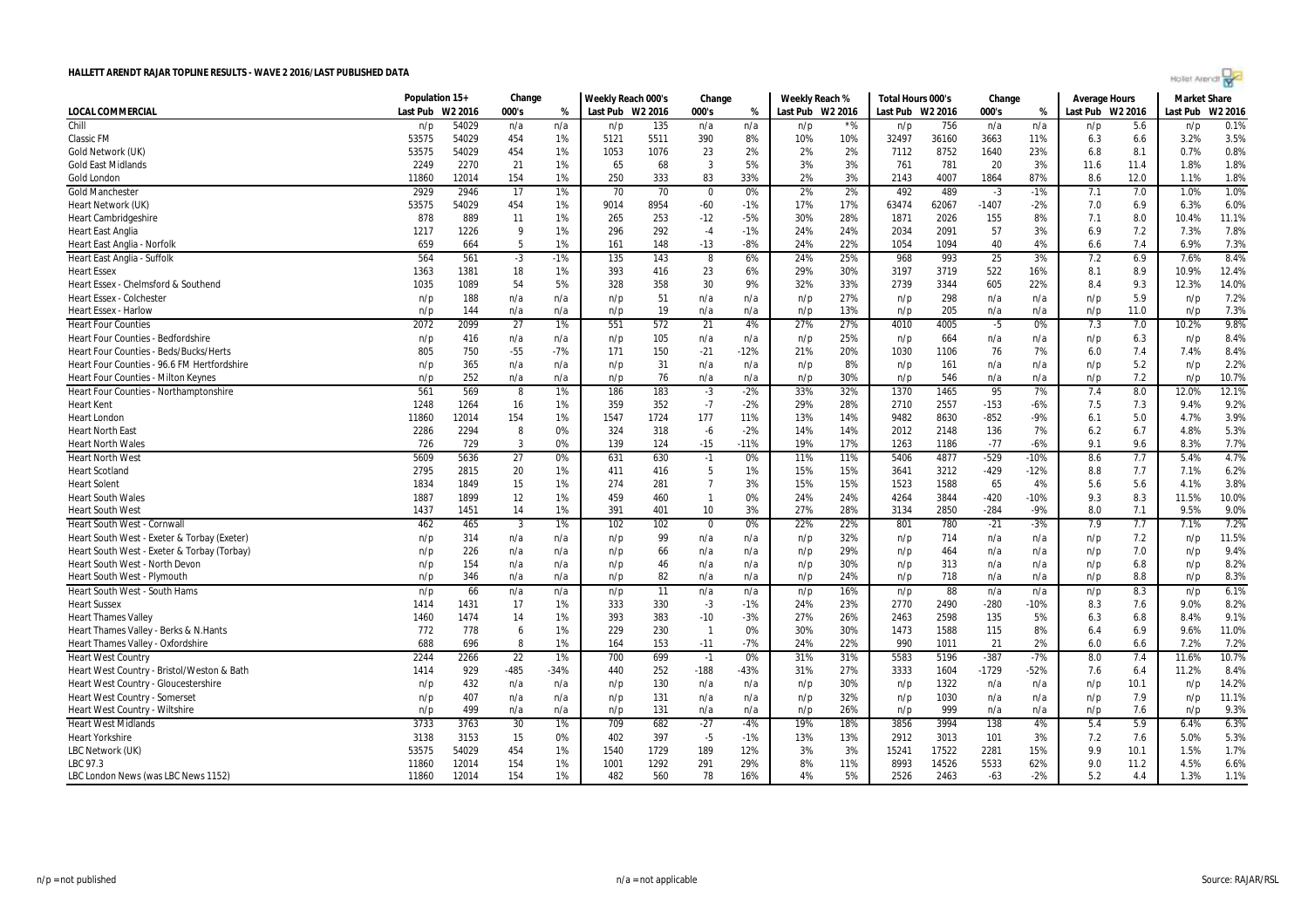| Hollet Arendt w |  |  |
|-----------------|--|--|
|                 |  |  |

|                                             | Population 15+ |         | Change          |        | Weekly Reach 000's |      | Change                  |        | Weekly Reach % |                  | Total Hours 000's |       | Change          |        | <b>Average Hours</b> |      | <b>Market Share</b> |         |
|---------------------------------------------|----------------|---------|-----------------|--------|--------------------|------|-------------------------|--------|----------------|------------------|-------------------|-------|-----------------|--------|----------------------|------|---------------------|---------|
| <b>LOCAL COMMERCIAL</b>                     | Last Pub       | W2 2016 | 000's           | %      | Last Pub W2 2016   |      | 000's                   | %      |                | Last Pub W2 2016 | Last Pub W2 2016  |       | 000's           | %      | Last Pub W2 2016     |      | Last Pub            | W2 2016 |
| Chill                                       | n/p            | 54029   | n/a             | n/a    | n/p                | 135  | n/a                     | n/a    | n/p            | $*$ %            | n/p               | 756   | n/a             | n/a    | n/p                  | 5.6  | n/p                 | 0.1%    |
| <b>Classic FM</b>                           | 53575          | 54029   | 454             | 1%     | 5121               | 5511 | 390                     | 8%     | 10%            | 10%              | 32497             | 36160 | 3663            | 11%    | 6.3                  | 6.6  | 3.2%                | 3.5%    |
| Gold Network (UK)                           | 53575          | 54029   | 454             | 1%     | 1053               | 1076 | 23                      | 2%     | 2%             | 2%               | 7112              | 8752  | 1640            | 23%    | 6.8                  | 8.1  | 0.7%                | 0.8%    |
| <b>Gold East Midlands</b>                   | 2249           | 2270    | 21              | 1%     | 65                 | 68   | 3                       | 5%     | 3%             | 3%               | 761               | 781   | 20              | 3%     | 11.6                 | 11.4 | 1.8%                | 1.8%    |
| Gold London                                 | 11860          | 12014   | 154             | 1%     | 250                | 333  | 83                      | 33%    | 2%             | 3%               | 2143              | 4007  | 1864            | 87%    | 8.6                  | 12.0 | 1.1%                | 1.8%    |
| <b>Gold Manchester</b>                      | 2929           | 2946    | $\overline{17}$ | 1%     | 70                 | 70   | $\overline{\mathbf{0}}$ | 0%     | 2%             | 2%               | 492               | 489   | $-3$            | $-1%$  | 7.1                  | 7.0  | 1.0%                | 1.0%    |
| Heart Network (UK)                          | 53575          | 54029   | 454             | 1%     | 9014               | 8954 | $-60$                   | $-1%$  | 17%            | 17%              | 63474             | 62067 | $-1407$         | $-2%$  | 7.0                  | 6.9  | 6.3%                | 6.0%    |
| <b>Heart Cambridgeshire</b>                 | 878            | 889     | 11              | 1%     | 265                | 253  | $-12$                   | $-5%$  | 30%            | 28%              | 1871              | 2026  | 155             | 8%     | 7.1                  | 8.0  | 10.4%               | 11.1%   |
| <b>Heart East Anglia</b>                    | 1217           | 1226    | -9              | 1%     | 296                | 292  | $-4$                    | $-1%$  | 24%            | 24%              | 2034              | 2091  | 57              | 3%     | 6.9                  | 7.2  | 7.3%                | 7.8%    |
| Heart East Anglia - Norfolk                 | 659            | 664     | -5              | 1%     | 161                | 148  | $-13$                   | -8%    | 24%            | 22%              | 1054              | 1094  | 40              | 4%     | 6.6                  | 7.4  | 6.9%                | 7.3%    |
| Heart East Anglia - Suffolk                 | 564            | 561     | $\cdot$ 3       | $-1%$  | 135                | 143  | 8                       | 6%     | 24%            | 25%              | 968               | 993   | $\overline{25}$ | 3%     | 7.2                  | 6.9  | 7.6%                | 8.4%    |
| <b>Heart Essex</b>                          | 1363           | 1381    | 18              | 1%     | 393                | 416  | 23                      | 6%     | 29%            | 30%              | 3197              | 3719  | 522             | 16%    | 8.1                  | 8.9  | 10.9%               | 12.4%   |
| Heart Essex - Chelmsford & Southend         | 1035           | 1089    | 54              | 5%     | 328                | 358  | 30                      | 9%     | 32%            | 33%              | 2739              | 3344  | 605             | 22%    | 8.4                  | 9.3  | 12.3%               | 14.0%   |
| <b>Heart Essex - Colchester</b>             | n/p            | 188     | n/a             | n/a    | n/p                | 51   | n/a                     | n/a    | n/p            | 27%              | n/p               | 298   | n/a             | n/a    | n/p                  | 5.9  | n/p                 | 7.2%    |
| <b>Heart Essex - Harlow</b>                 | n/p            | 144     | n/a             | n/a    | n/p                | 19   | n/a                     | n/a    | n/p            | 13%              | n/p               | 205   | n/a             | n/a    | n/p                  | 11.0 | n/p                 | 7.3%    |
| <b>Heart Four Counties</b>                  | 2072           | 2099    | 27              | 1%     | 551                | 572  | 21                      | 4%     | 27%            | 27%              | 4010              | 4005  | -5              | 0%     | 7.3                  | 7.0  | 10.2%               | 9.8%    |
| <b>Heart Four Counties - Bedfordshire</b>   | n/p            | 416     | n/a             | n/a    | n/p                | 105  | n/a                     | n/a    | n/p            | 25%              | n/p               | 664   | n/a             | n/a    | n/p                  | 6.3  | n/p                 | 8.4%    |
| Heart Four Counties - Beds/Bucks/Herts      | 805            | 750     | $-55$           | $-7%$  | 171                | 150  | $-21$                   | $-12%$ | 21%            | 20%              | 1030              | 1106  | 76              | 7%     | 6.0                  | 7.4  | 7.4%                | 8.4%    |
| Heart Four Counties - 96.6 FM Hertfordshire | n/p            | 365     | n/a             | n/a    | n/p                | 31   | n/a                     | n/a    | n/p            | 8%               | n/p               | 161   | n/a             | n/a    | n/p                  | 5.2  | n/p                 | 2.2%    |
| Heart Four Counties - Milton Keynes         | n/p            | 252     | n/a             | n/a    | n/p                | 76   | n/a                     | n/a    | n/p            | 30%              | n/p               | 546   | n/a             | n/a    | n/p                  | 7.2  | n/p                 | 10.7%   |
| Heart Four Counties - Northamptonshire      | 561            | 569     | 8               | 1%     | 186                | 183  | $-3$                    | $-2%$  | 33%            | 32%              | 1370              | 1465  | 95              | 7%     | 7.4                  | 8.0  | 12.0%               | 12.1%   |
| <b>Heart Kent</b>                           | 1248           | 1264    | 16              | 1%     | 359                | 352  | $-7$                    | $-2%$  | 29%            | 28%              | 2710              | 2557  | $-153$          | $-6%$  | 7.5                  | 7.3  | 9.4%                | 9.2%    |
| <b>Heart London</b>                         | 11860          | 12014   | 154             | 1%     | 1547               | 1724 | 177                     | 11%    | 13%            | 14%              | 9482              | 8630  | $-852$          | $-9%$  | 6.1                  | 5.0  | 4.7%                | 3.9%    |
| <b>Heart North East</b>                     | 2286           | 2294    | 8               | 0%     | 324                | 318  | $-6$                    | $-2%$  | 14%            | 14%              | 2012              | 2148  | 136             | 7%     | 6.2                  | 6.7  | 4.8%                | 5.3%    |
| <b>Heart North Wales</b>                    | 726            | 729     | $\overline{3}$  | 0%     | 139                | 124  | $-15$                   | $-11%$ | 19%            | 17%              | 1263              | 1186  | $-77$           | $-6%$  | 9.1                  | 9.6  | 8.3%                | 7.7%    |
| <b>Heart North West</b>                     | 5609           | 5636    | 27              | 0%     | 631                | 630  | $-1$                    | 0%     | 11%            | 11%              | 5406              | 4877  | $-529$          | $-10%$ | 8.6                  | 7.7  | 5.4%                | 4.7%    |
| <b>Heart Scotland</b>                       | 2795           | 2815    | 20              | 1%     | 411                | 416  | - 5                     | 1%     | 15%            | 15%              | 3641              | 3212  | $-429$          | $-12%$ | 8.8                  | 7.7  | 7.1%                | 6.2%    |
| <b>Heart Solent</b>                         | 1834           | 1849    | 15              | 1%     | 274                | 281  | $\overline{7}$          | 3%     | 15%            | 15%              | 1523              | 1588  | 65              | 4%     | 5.6                  | 5.6  | 4.1%                | 3.8%    |
| <b>Heart South Wales</b>                    | 1887           | 1899    | 12              | 1%     | 459                | 460  | $\overline{1}$          | 0%     | 24%            | 24%              | 4264              | 3844  | $-420$          | $-10%$ | 9.3                  | 8.3  | 11.5%               | 10.0%   |
| <b>Heart South West</b>                     | 1437           | 1451    | 14              | 1%     | 391                | 401  | 10                      | 3%     | 27%            | 28%              | 3134              | 2850  | $-284$          | $-9%$  | 8.0                  | 7.1  | 9.5%                | 9.0%    |
| Heart South West - Cornwall                 | 462            | 465     | $\overline{3}$  | 1%     | 102                | 102  | $\mathbf 0$             | 0%     | 22%            | 22%              | 801               | 780   | $-21$           | $-3%$  | 7.9                  | 7.7  | 7.1%                | 7.2%    |
| Heart South West - Exeter & Torbay (Exeter) | n/p            | 314     | n/a             | n/a    | n/p                | 99   | n/a                     | n/a    | n/p            | 32%              | n/p               | 714   | n/a             | n/a    | n/p                  | 7.2  | n/p                 | 11.5%   |
| Heart South West - Exeter & Torbay (Torbay) | n/p            | 226     | n/a             | n/a    | n/p                | 66   | n/a                     | n/a    | n/p            | 29%              | n/p               | 464   | n/a             | n/a    | n/p                  | 7.0  | n/p                 | 9.4%    |
| Heart South West - North Devon              | n/p            | 154     | n/a             | n/a    | n/p                | 46   | n/a                     | n/a    | n/p            | 30%              | n/p               | 313   | n/a             | n/a    | n/p                  | 6.8  | n/p                 | 8.2%    |
| <b>Heart South West - Plymouth</b>          | n/p            | 346     | n/a             | n/a    | n/p                | 82   | n/a                     | n/a    | n/p            | 24%              | n/p               | 718   | n/a             | n/a    | n/p                  | 8.8  | n/p                 | 8.3%    |
| Heart South West - South Hams               | n/p            | 66      | n/a             | n/a    | n/p                | 11   | n/a                     | n/a    | n/p            | 16%              | n/p               | 88    | n/a             | n/a    | n/p                  | 8.3  | n/p                 | 6.1%    |
| <b>Heart Sussex</b>                         | 1414           | 1431    | 17              | 1%     | 333                | 330  | $-3$                    | $-1%$  | 24%            | 23%              | 2770              | 2490  | $-280$          | $-10%$ | 8.3                  | 7.6  | 9.0%                | 8.2%    |
| <b>Heart Thames Valley</b>                  | 1460           | 1474    | 14              | 1%     | 393                | 383  | $-10$                   | $-3%$  | 27%            | 26%              | 2463              | 2598  | 135             | 5%     | 6.3                  | 6.8  | 8.4%                | 9.1%    |
| Heart Thames Valley - Berks & N.Hants       | 772            | 778     | 6               | 1%     | 229                | 230  | $\overline{1}$          | 0%     | 30%            | 30%              | 1473              | 1588  | 115             | 8%     | 6.4                  | 6.9  | 9.6%                | 11.0%   |
| Heart Thames Valley - Oxfordshire           | 688            | 696     | -8              | 1%     | 164                | 153  | $-11$                   | $-7%$  | 24%            | 22%              | 990               | 1011  | 21              | 2%     | 6.0                  | 6.6  | 7.2%                | 7.2%    |
| <b>Heart West Country</b>                   | 2244           | 2266    | 22              | 1%     | 700                | 699  | $-1$                    | 0%     | 31%            | 31%              | 5583              | 5196  | $-387$          | $-7%$  | 8.0                  | 7.4  | 11.6%               | 10.7%   |
| Heart West Country - Bristol/Weston & Bath  | 1414           | 929     | -485            | $-34%$ | 440                | 252  | $-188$                  | $-43%$ | 31%            | 27%              | 3333              | 1604  | $-1729$         | $-52%$ | 7.6                  | 6.4  | 11.2%               | 8.4%    |
| Heart West Country - Gloucestershire        | n/p            | 432     | n/a             | n/a    | n/p                | 130  | n/a                     | n/a    | n/p            | 30%              | n/p               | 1322  | n/a             | n/a    | n/p                  | 10.1 | n/p                 | 14.2%   |
| Heart West Country - Somerset               | n/p            | 407     | n/a             | n/a    | n/p                | 131  | n/a                     | n/a    | n/p            | 32%              | n/p               | 1030  | n/a             | n/a    | n/p                  | 7.9  | n/p                 | 11.1%   |
| Heart West Country - Wiltshire              | n/p            | 499     | n/a             | n/a    | n/p                | 131  | n/a                     | n/a    | n/p            | 26%              | n/p               | 999   | n/a             | n/a    | n/p                  | 7.6  | n/p                 | 9.3%    |
| <b>Heart West Midlands</b>                  | 3733           | 3763    | 30              | 1%     | 709                | 682  | $-27$                   | $-4%$  | 19%            | 18%              | 3856              | 3994  | 138             | 4%     | 5.4                  | 5.9  | 6.4%                | 6.3%    |
| <b>Heart Yorkshire</b>                      | 3138           | 3153    | 15              | 0%     | 402                | 397  | $-5$                    | $-1%$  | 13%            | 13%              | 2912              | 3013  | 101             | 3%     | 7.2                  | 7.6  | 5.0%                | 5.3%    |
| LBC Network (UK)                            | 53575          | 54029   | 454             | 1%     | 1540               | 1729 | 189                     | 12%    | 3%             | 3%               | 15241             | 17522 | 2281            | 15%    | 9.9                  | 10.1 | 1.5%                | 1.7%    |
| LBC 97.3                                    | 11860          | 12014   | 154             | 1%     | 1001               | 1292 | 291                     | 29%    | 8%             | 11%              | 8993              | 14526 | 5533            | 62%    | 9.0                  | 11.2 | 4.5%                | 6.6%    |
| LBC London News (was LBC News 1152)         | 11860          | 12014   | 154             | 1%     | 482                | 560  | 78                      | 16%    | 4%             | 5%               | 2526              | 2463  | $-63$           | $-2%$  | 5.2                  | 4.4  | 1.3%                | 1.1%    |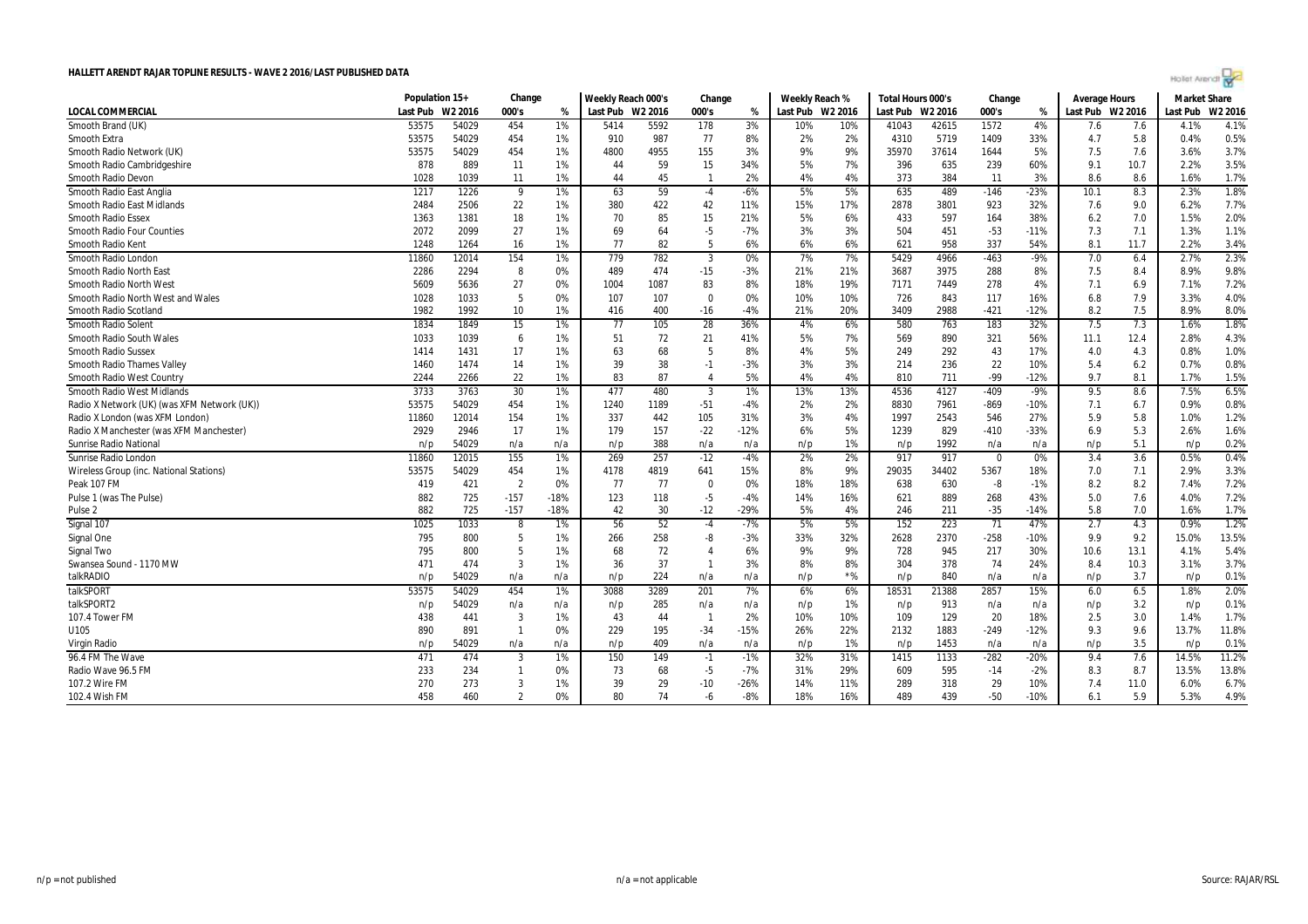| Hollet Arendt |  |  |  |
|---------------|--|--|--|
|               |  |  |  |

|                                             | Population 15+ |         | Change         |        | Weekly Reach 000's |      | Change                  |        | Weekly Reach %   |       | Total Hours 000's |       | Change   |        | Average Hours    |      | <b>Market Share</b> |         |
|---------------------------------------------|----------------|---------|----------------|--------|--------------------|------|-------------------------|--------|------------------|-------|-------------------|-------|----------|--------|------------------|------|---------------------|---------|
| <b>LOCAL COMMERCIAL</b>                     | Last Pub       | W2 2016 | 000's          | %      | Last Pub W2 2016   |      | 000's                   | %      | Last Pub W2 2016 |       | Last Pub W2 2016  |       | 000's    | %      | Last Pub W2 2016 |      | Last Pub            | W2 2016 |
| Smooth Brand (UK)                           | 53575          | 54029   | 454            | 1%     | 5414               | 5592 | 178                     | 3%     | 10%              | 10%   | 41043             | 42615 | 1572     | 4%     | 7.6              | 7.6  | 4.1%                | 4.1%    |
| Smooth Extra                                | 53575          | 54029   | 454            | 1%     | 910                | 987  | 77                      | 8%     | 2%               | 2%    | 4310              | 5719  | 1409     | 33%    | 4.7              | 5.8  | 0.4%                | 0.5%    |
| Smooth Radio Network (UK)                   | 53575          | 54029   | 454            | 1%     | 4800               | 4955 | 155                     | 3%     | 9%               | 9%    | 35970             | 37614 | 1644     | 5%     | 7.5              | 7.6  | 3.6%                | 3.7%    |
| Smooth Radio Cambridgeshire                 | 878            | 889     | 11             | 1%     | 44                 | 59   | 15                      | 34%    | 5%               | 7%    | 396               | 635   | 239      | 60%    | 9.1              | 10.7 | 2.2%                | 3.5%    |
| Smooth Radio Devon                          | 1028           | 1039    | 11             | 1%     | 44                 | 45   | $\overline{1}$          | 2%     | 4%               | 4%    | 373               | 384   | 11       | 3%     | 8.6              | 8.6  | 1.6%                | 1.7%    |
| Smooth Radio East Anglia                    | 1217           | 1226    | - 9            | 1%     | 63                 | 59   | $-4$                    | $-6%$  | 5%               | 5%    | 635               | 489   | $-146$   | $-23%$ | 10.1             | 8.3  | 2.3%                | 1.8%    |
| <b>Smooth Radio East Midlands</b>           | 2484           | 2506    | 22             | 1%     | 380                | 422  | 42                      | 11%    | 15%              | 17%   | 2878              | 3801  | 923      | 32%    | 7.6              | 9.0  | 6.2%                | 7.7%    |
| <b>Smooth Radio Essex</b>                   | 1363           | 1381    | 18             | 1%     | 70                 | 85   | 15                      | 21%    | 5%               | 6%    | 433               | 597   | 164      | 38%    | 6.2              | 7.0  | 1.5%                | 2.0%    |
| <b>Smooth Radio Four Counties</b>           | 2072           | 2099    | 27             | 1%     | 69                 | 64   | $-5$                    | $-7%$  | 3%               | 3%    | 504               | 451   | $-53$    | $-11%$ | 7.3              | 7.1  | 1.3%                | 1.1%    |
| Smooth Radio Kent                           | 1248           | 1264    | 16             | 1%     | 77                 | 82   | 5                       | 6%     | 6%               | 6%    | 621               | 958   | 337      | 54%    | 8.1              | 11.7 | 2.2%                | 3.4%    |
| Smooth Radio London                         | 11860          | 12014   | 154            | 1%     | 779                | 782  | $\overline{\mathbf{3}}$ | 0%     | 7%               | 7%    | 5429              | 4966  | $-463$   | $-9%$  | 7.0              | 6.4  | 2.7%                | 2.3%    |
| <b>Smooth Radio North East</b>              | 2286           | 2294    | 8              | 0%     | 489                | 474  | $-15$                   | $-3%$  | 21%              | 21%   | 3687              | 3975  | 288      | 8%     | 7.5              | 8.4  | 8.9%                | 9.8%    |
| Smooth Radio North West                     | 5609           | 5636    | 27             | 0%     | 1004               | 1087 | 83                      | 8%     | 18%              | 19%   | 7171              | 7449  | 278      | 4%     | 7.1              | 6.9  | 7.1%                | 7.2%    |
| Smooth Radio North West and Wales           | 1028           | 1033    | 5              | 0%     | 107                | 107  | $\mathbf 0$             | 0%     | 10%              | 10%   | 726               | 843   | 117      | 16%    | 6.8              | 7.9  | 3.3%                | 4.0%    |
| Smooth Radio Scotland                       | 1982           | 1992    | 10             | 1%     | 416                | 400  | $-16$                   | $-4%$  | 21%              | 20%   | 3409              | 2988  | $-421$   | $-12%$ | 8.2              | 7.5  | 8.9%                | 8.0%    |
| Smooth Radio Solent                         | 1834           | 1849    | 15             | 1%     | 77                 | 105  | 28                      | 36%    | 4%               | 6%    | 580               | 763   | 183      | 32%    | 7.5              | 7.3  | 1.6%                | 1.8%    |
| Smooth Radio South Wales                    | 1033           | 1039    | 6              | 1%     | 51                 | 72   | 21                      | 41%    | 5%               | 7%    | 569               | 890   | 321      | 56%    | 11.1             | 12.4 | 2.8%                | 4.3%    |
| <b>Smooth Radio Sussex</b>                  | 1414           | 1431    | 17             | 1%     | 63                 | 68   | 5                       | 8%     | 4%               | 5%    | 249               | 292   | 43       | 17%    | 4.0              | 4.3  | 0.8%                | 1.0%    |
| <b>Smooth Radio Thames Valley</b>           | 1460           | 1474    | 14             | 1%     | 39                 | 38   | $-1$                    | $-3%$  | 3%               | 3%    | 214               | 236   | 22       | 10%    | 5.4              | 6.2  | 0.7%                | 0.8%    |
| Smooth Radio West Country                   | 2244           | 2266    | 22             | 1%     | 83                 | 87   | $\overline{4}$          | 5%     | 4%               | 4%    | 810               | 711   | $-99$    | $-12%$ | 9.7              | 8.1  | 1.7%                | 1.5%    |
| <b>Smooth Radio West Midlands</b>           | 3733           | 3763    | 30             | $1\%$  | 477                | 480  | $\overline{3}$          | 1%     | 13%              | 13%   | 4536              | 4127  | $-409$   | $-9%$  | 9.5              | 8.6  | 7.5%                | 6.5%    |
| Radio X Network (UK) (was XFM Network (UK)) | 53575          | 54029   | 454            | 1%     | 1240               | 1189 | $-51$                   | -4%    | 2%               | 2%    | 8830              | 7961  | $-869$   | $-10%$ | 7.1              | 6.7  | 0.9%                | 0.8%    |
| Radio X London (was XFM London)             | 11860          | 12014   | 154            | 1%     | 337                | 442  | 105                     | 31%    | 3%               | 4%    | 1997              | 2543  | 546      | 27%    | 5.9              | 5.8  | 1.0%                | 1.2%    |
| Radio X Manchester (was XFM Manchester)     | 2929           | 2946    | 17             | 1%     | 179                | 157  | $-22$                   | $-12%$ | 6%               | 5%    | 1239              | 829   | $-410$   | $-33%$ | 6.9              | 5.3  | 2.6%                | 1.6%    |
| <b>Sunrise Radio National</b>               | n/p            | 54029   | n/a            | n/a    | n/p                | 388  | n/a                     | n/a    | n/p              | 1%    | n/p               | 1992  | n/a      | n/a    | n/p              | 5.1  | n/p                 | 0.2%    |
| Sunrise Radio London                        | 11860          | 12015   | 155            | 1%     | 269                | 257  | $-12$                   | $-4%$  | 2%               | 2%    | 917               | 917   | $\Omega$ | 0%     | 3.4              | 3.6  | 0.5%                | 0.4%    |
| Wireless Group (inc. National Stations)     | 53575          | 54029   | 454            | $1\%$  | 4178               | 4819 | 641                     | 15%    | 8%               | 9%    | 29035             | 34402 | 5367     | 18%    | 7.0              | 7.1  | 2.9%                | 3.3%    |
| Peak 107 FM                                 | 419            | 421     | $\overline{2}$ | 0%     | 77                 | 77   | $\mathbf{0}$            | 0%     | 18%              | 18%   | 638               | 630   | -8       | $-1%$  | 8.2              | 8.2  | 7.4%                | 7.2%    |
| Pulse 1 (was The Pulse)                     | 882            | 725     | $-157$         | $-18%$ | 123                | 118  | $-5$                    | $-4%$  | 14%              | 16%   | 621               | 889   | 268      | 43%    | 5.0              | 7.6  | 4.0%                | 7.2%    |
| Pulse <sub>2</sub>                          | 882            | 725     | $-157$         | $-18%$ | 42                 | 30   | $-12$                   | $-29%$ | 5%               | 4%    | 246               | 211   | $-35$    | $-14%$ | 5.8              | 7.0  | 1.6%                | 1.7%    |
| Signal 107                                  | 1025           | 1033    | 8              | 1%     | 56                 | 52   | $-4$                    | -7%    | 5%               | 5%    | 152               | 223   | 71       | 47%    | 2.7              | 4.3  | 0.9%                | 1.2%    |
| Signal One                                  | 795            | 800     | -5             | 1%     | 266                | 258  | -8                      | -3%    | 33%              | 32%   | 2628              | 2370  | $-258$   | $-10%$ | 9.9              | 9.2  | 15.0%               | 13.5%   |
| Signal Two                                  | 795            | 800     | 5              | 1%     | 68                 | 72   | $\overline{4}$          | 6%     | 9%               | 9%    | 728               | 945   | 217      | 30%    | 10.6             | 13.1 | 4.1%                | 5.4%    |
| Swansea Sound - 1170 MW                     | 471            | 474     | $\overline{3}$ | 1%     | 36                 | 37   | $\overline{1}$          | 3%     | 8%               | 8%    | 304               | 378   | 74       | 24%    | 8.4              | 10.3 | 3.1%                | 3.7%    |
| talkRADIO                                   | n/p            | 54029   | n/a            | n/a    | n/p                | 224  | n/a                     | n/a    | n/p              | $*$ % | n/p               | 840   | n/a      | n/a    | n/p              | 3.7  | n/p                 | 0.1%    |
| talkSPORT                                   | 53575          | 54029   | 454            | 1%     | 3088               | 3289 | 201                     | 7%     | 6%               | 6%    | 18531             | 21388 | 2857     | 15%    | 6.0              | 6.5  | 1.8%                | 2.0%    |
| talkSPORT2                                  | n/p            | 54029   | n/a            | n/a    | n/p                | 285  | n/a                     | n/a    | n/p              | 1%    | n/p               | 913   | n/a      | n/a    | n/p              | 3.2  | n/p                 | 0.1%    |
| 107.4 Tower FM                              | 438            | 441     | $\overline{3}$ | 1%     | 43                 | 44   | $\overline{1}$          | 2%     | 10%              | 10%   | 109               | 129   | 20       | 18%    | 2.5              | 3.0  | 1.4%                | 1.7%    |
| U105                                        | 890            | 891     | $\overline{1}$ | 0%     | 229                | 195  | $-34$                   | $-15%$ | 26%              | 22%   | 2132              | 1883  | $-249$   | $-12%$ | 9.3              | 9.6  | 13.7%               | 11.8%   |
| Virgin Radio                                | n/p            | 54029   | n/a            | n/a    | n/p                | 409  | n/a                     | n/a    | n/p              | 1%    | n/p               | 1453  | n/a      | n/a    | n/p              | 3.5  | n/p                 | 0.1%    |
| 96.4 FM The Wave                            | 471            | 474     | $\overline{3}$ | 1%     | 150                | 149  | $-1$                    | $-1%$  | 32%              | 31%   | 1415              | 1133  | $-282$   | $-20%$ | 9.4              | 7.6  | 14.5%               | 11.2%   |
| Radio Wave 96.5 FM                          | 233            | 234     | -1             | 0%     | 73                 | 68   | $-5$                    | -7%    | 31%              | 29%   | 609               | 595   | $-14$    | $-2%$  | 8.3              | 8.7  | 13.5%               | 13.8%   |
| 107.2 Wire FM                               | 270            | 273     | 3              | 1%     | 39                 | 29   | $-10$                   | $-26%$ | 14%              | 11%   | 289               | 318   | 29       | 10%    | 7.4              | 11.0 | 6.0%                | 6.7%    |
| 102.4 Wish FM                               | 458            | 460     | $\overline{2}$ | 0%     | 80                 | 74   | -6                      | $-8%$  | 18%              | 16%   | 489               | 439   | $-50$    | $-10%$ | 6.1              | 5.9  | 5.3%                | 4.9%    |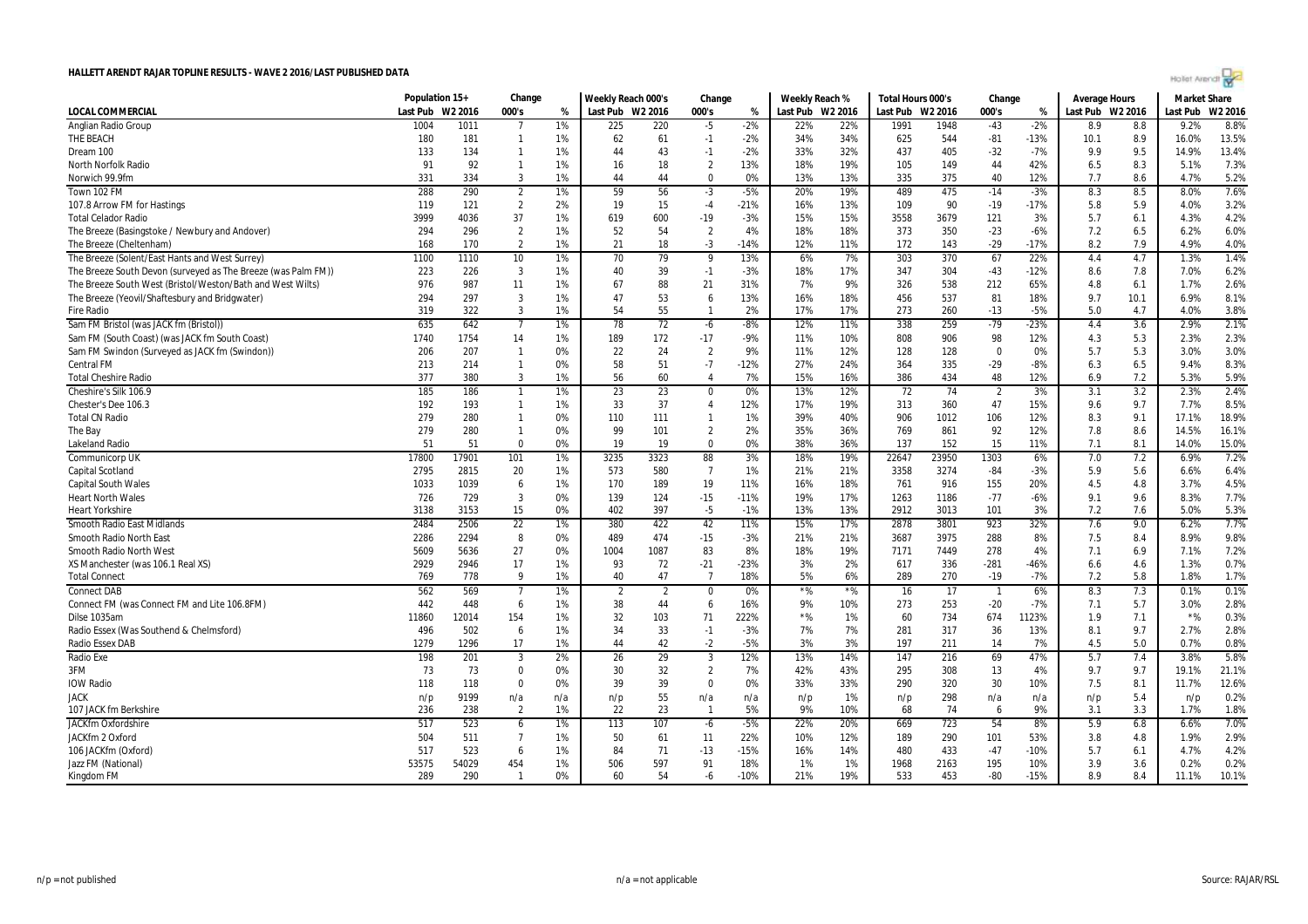| Highet Arendt |  |
|---------------|--|
|               |  |

|                                                               | Population 15+ |         | Change         |     | Weekly Reach 000's |                | Change         |        | Weekly Reach % |                  | Total Hours 000's |       | Change                   |        | <b>Average Hours</b> |      | <b>Market Share</b> |         |
|---------------------------------------------------------------|----------------|---------|----------------|-----|--------------------|----------------|----------------|--------|----------------|------------------|-------------------|-------|--------------------------|--------|----------------------|------|---------------------|---------|
| <b>LOCAL COMMERCIAL</b>                                       | Last Pub       | W2 2016 | 000's          | %   | Last Pub W2 2016   |                | 000's          | %      |                | Last Pub W2 2016 | Last Pub W2 2016  |       | 000's                    | %      | Last Pub W2 2016     |      | Last Pub            | W2 2016 |
| Anglian Radio Group                                           | 1004           | 1011    | $\overline{7}$ | 1%  | 225                | 220            | $-5$           | $-2%$  | 22%            | 22%              | 1991              | 1948  | $-43$                    | $-2%$  | 8.9                  | 8.8  | 9.2%                | 8.8%    |
| THE BEACH                                                     | 180            | 181     | $\mathbf{1}$   | 1%  | 62                 | 61             | $-1$           | $-2%$  | 34%            | 34%              | 625               | 544   | $-81$                    | $-13%$ | 10.1                 | 8.9  | 16.0%               | 13.5%   |
| Dream 100                                                     | 133            | 134     | $\mathbf{1}$   | 1%  | 44                 | 43             | $-1$           | $-2%$  | 33%            | 32%              | 437               | 405   | $-32$                    | $-7%$  | 9.9                  | 9.5  | 14.9%               | 13.4%   |
| North Norfolk Radio                                           | 91             | 92      | -1             | 1%  | 16                 | 18             | $\overline{2}$ | 13%    | 18%            | 19%              | 105               | 149   | 44                       | 42%    | 6.5                  | 8.3  | 5.1%                | 7.3%    |
| Norwich 99.9fm                                                | 331            | 334     | $\overline{3}$ | 1%  | 44                 | 44             | $\Omega$       | 0%     | 13%            | 13%              | 335               | 375   | 40                       | 12%    | 7.7                  | 8.6  | 4.7%                | 5.2%    |
| Town 102 FM                                                   | 288            | 290     | $\overline{2}$ | 1%  | 59                 | 56             | $-3$           | $-5%$  | 20%            | 19%              | 489               | 475   | $-14$                    | $-3%$  | 8.3                  | 8.5  | 8.0%                | 7.6%    |
| 107.8 Arrow FM for Hastings                                   | 119            | 121     | $\overline{2}$ | 2%  | 19                 | 15             | $-4$           | $-21%$ | 16%            | 13%              | 109               | 90    | $-19$                    | $-17%$ | 5.8                  | 5.9  | 4.0%                | 3.2%    |
| <b>Total Celador Radio</b>                                    | 3999           | 4036    | 37             | 1%  | 619                | 600            | $-19$          | $-3%$  | 15%            | 15%              | 3558              | 3679  | 121                      | 3%     | 5.7                  | 6.1  | 4.3%                | 4.2%    |
| The Breeze (Basingstoke / Newbury and Andover)                | 294            | 296     | $\overline{2}$ | 1%  | 52                 | 54             | $\overline{2}$ | 4%     | 18%            | 18%              | 373               | 350   | $-23$                    | $-6%$  | 7.2                  | 6.5  | 6.2%                | 6.0%    |
| The Breeze (Cheltenham)                                       | 168            | 170     | $\overline{2}$ | 1%  | 21                 | 18             | $-3$           | $-14%$ | 12%            | 11%              | 172               | 143   | $-29$                    | $-17%$ | 8.2                  | 7.9  | 4.9%                | 4.0%    |
| The Breeze (Solent/East Hants and West Surrey)                | 1100           | 1110    | 10             | 1%  | 70                 | 79             | 9              | 13%    | 6%             | 7%               | 303               | 370   | 67                       | 22%    | 4.4                  | 4.7  | 1.3%                | 1.4%    |
| The Breeze South Devon (surveyed as The Breeze (was Palm FM)) | 223            | 226     | 3              | 1%  | 40                 | 39             | $-1$           | $-3%$  | 18%            | 17%              | 347               | 304   | $-43$                    | $-12%$ | 8.6                  | 7.8  | 7.0%                | 6.2%    |
| The Breeze South West (Bristol/Weston/Bath and West Wilts)    | 976            | 987     | 11             | 1%  | 67                 | 88             | 21             | 31%    | 7%             | 9%               | 326               | 538   | 212                      | 65%    | 4.8                  | 6.1  | 1.7%                | 2.6%    |
| The Breeze (Yeovil/Shaftesbury and Bridgwater)                | 294            | 297     | 3              | 1%  | 47                 | 53             | 6              | 13%    | 16%            | 18%              | 456               | 537   | 81                       | 18%    | 9.7                  | 10.1 | 6.9%                | 8.1%    |
| Fire Radio                                                    | 319            | 322     | 3              | 1%  | 54                 | 55             | $\mathbf{1}$   | 2%     | 17%            | 17%              | 273               | 260   | $-13$                    | $-5%$  | 5.0                  | 4.7  | 4.0%                | 3.8%    |
| Sam FM Bristol (was JACK fm (Bristol))                        | 635            | 642     | $\overline{7}$ | 1%  | 78                 | 72             | -6             | $-8%$  | 12%            | 11%              | 338               | 259   | $-79$                    | -23%   | 4.4                  | 3.6  | 2.9%                | 2.1%    |
| Sam FM (South Coast) (was JACK fm South Coast)                | 1740           | 1754    | 14             | 1%  | 189                | 172            | $-17$          | $-9%$  | 11%            | 10%              | 808               | 906   | 98                       | 12%    | 4.3                  | 5.3  | 2.3%                | 2.3%    |
| Sam FM Swindon (Surveyed as JACK fm (Swindon))                | 206            | 207     | $\mathbf{1}$   | 0%  | 22                 | 24             | $\overline{2}$ | 9%     | 11%            | 12%              | 128               | 128   | $\Omega$                 | 0%     | 5.7                  | 5.3  | 3.0%                | 3.0%    |
| Central FM                                                    | 213            | 214     | $\mathbf{1}$   | 0%  | 58                 | 51             | $-7$           | $-12%$ | 27%            | 24%              | 364               | 335   | $-29$                    | $-8%$  | 6.3                  | 6.5  | 9.4%                | 8.3%    |
| <b>Total Cheshire Radio</b>                                   | 377            | 380     | 3              | 1%  | 56                 | 60             | 4              | 7%     | 15%            | 16%              | 386               | 434   | 48                       | 12%    | 6.9                  | 7.2  | 5.3%                | 5.9%    |
| Cheshire's Silk 106.9                                         | 185            | 186     | $\overline{1}$ | 1%  | 23                 | 23             | $\pmb{0}$      | 0%     | 13%            | 12%              | 72                | 74    | $\overline{2}$           | 3%     | 3.1                  | 3.2  | 2.3%                | 2.4%    |
| Chester's Dee 106.3                                           | 192            | 193     | $\mathbf{1}$   | 1%  | 33                 | 37             | $\overline{4}$ | 12%    | 17%            | 19%              | 313               | 360   | 47                       | 15%    | 9.6                  | 9.7  | 7.7%                | 8.5%    |
| <b>Total CN Radio</b>                                         | 279            | 280     | $\mathbf{1}$   | 0%  | 110                | 111            | $\mathbf{1}$   | 1%     | 39%            | 40%              | 906               | 1012  | 106                      | 12%    | 8.3                  | 9.1  | 17.1%               | 18.9%   |
| The Bay                                                       | 279            | 280     | $\mathbf{1}$   | 0%  | 99                 | 101            | $\overline{2}$ | 2%     | 35%            | 36%              | 769               | 861   | 92                       | 12%    | 7.8                  | 8.6  | 14.5%               | 16.1%   |
| Lakeland Radio                                                | 51             | 51      | $\Omega$       | 0%  | 19                 | 19             | $\Omega$       | 0%     | 38%            | 36%              | 137               | 152   | 15                       | 11%    | 7.1                  | 8.1  | 14.0%               | 15.0%   |
| Communicorp UK                                                | 17800          | 17901   | 101            | 1%  | 3235               | 3323           | 88             | 3%     | 18%            | 19%              | 22647             | 23950 | 1303                     | 6%     | 7.0                  | 7.2  | 6.9%                | 7.2%    |
| Capital Scotland                                              | 2795           | 2815    | 20             | 1%  | 573                | 580            | $\overline{7}$ | 1%     | 21%            | 21%              | 3358              | 3274  | $-84$                    | $-3%$  | 5.9                  | 5.6  | 6.6%                | 6.4%    |
| Capital South Wales                                           | 1033           | 1039    | 6              | 1%  | 170                | 189            | 19             | 11%    | 16%            | 18%              | 761               | 916   | 155                      | 20%    | 4.5                  | 4.8  | 3.7%                | 4.5%    |
| <b>Heart North Wales</b>                                      | 726            | 729     | 3              | 0%  | 139                | 124            | $-15$          | $-11%$ | 19%            | 17%              | 1263              | 1186  | $-77$                    | $-6%$  | 9.1                  | 9.6  | 8.3%                | 7.7%    |
| <b>Heart Yorkshire</b>                                        | 3138           | 3153    | 15             | 0%  | 402                | 397            | $-5$           | $-1%$  | 13%            | 13%              | 2912              | 3013  | 101                      | 3%     | 7.2                  | 7.6  | 5.0%                | 5.3%    |
| Smooth Radio East Midlands                                    | 2484           | 2506    | 22             | 1%  | 380                | 422            | 42             | 11%    | 15%            | 17%              | 2878              | 3801  | 923                      | 32%    | 7.6                  | 9.0  | 6.2%                | 7.7%    |
| Smooth Radio North East                                       | 2286           | 2294    | 8              | 0%  | 489                | 474            | $-15$          | $-3%$  | 21%            | 21%              | 3687              | 3975  | 288                      | 8%     | 7.5                  | 8.4  | 8.9%                | 9.8%    |
| Smooth Radio North West                                       | 5609           | 5636    | 27             | 0%  | 1004               | 1087           | 83             | 8%     | 18%            | 19%              | 7171              | 7449  | 278                      | 4%     | 7.1                  | 6.9  | 7.1%                | 7.2%    |
| XS Manchester (was 106.1 Real XS)                             | 2929           | 2946    | 17             | 1%  | 93                 | 72             | $-21$          | $-23%$ | 3%             | 2%               | 617               | 336   | $-281$                   | -46%   | 6.6                  | 4.6  | 1.3%                | 0.7%    |
| <b>Total Connect</b>                                          | 769            | 778     | 9              | 1%  | 40                 | 47             | $\overline{7}$ | 18%    | 5%             | 6%               | 289               | 270   | $-19$                    | $-7%$  | 7.2                  | 5.8  | 1.8%                | 1.7%    |
| <b>Connect DAB</b>                                            | 562            | 569     | $\overline{7}$ | 1%  | $\overline{2}$     | $\overline{2}$ | $\mathbf 0$    | 0%     | $*$ %          | $*$ %            | 16                | 17    | $\overline{\phantom{a}}$ | 6%     | 8.3                  | 7.3  | 0.1%                | 0.1%    |
| Connect FM (was Connect FM and Lite 106.8FM)                  | 442            | 448     | 6              | 1%  | 38                 | 44             | 6              | 16%    | 9%             | 10%              | 273               | 253   | $-20$                    | $-7%$  | 7.1                  | 5.7  | 3.0%                | 2.8%    |
| Dilse 1035am                                                  | 11860          | 12014   | 154            | 1%  | 32                 | 103            | 71             | 222%   | $*$ %          | 1%               | 60                | 734   | 674                      | 1123%  | 1.9                  | 7.1  | $*$ %               | 0.3%    |
| Radio Essex (Was Southend & Chelmsford)                       | 496            | 502     | 6              | 1%  | 34                 | 33             | $-1$           | $-3%$  | 7%             | 7%               | 281               | 317   | 36                       | 13%    | 8.1                  | 9.7  | 2.7%                | 2.8%    |
| <b>Radio Essex DAB</b>                                        | 1279           | 1296    | 17             | 1%  | 44                 | 42             | $-2$           | $-5%$  | 3%             | 3%               | 197               | 211   | 14                       | 7%     | 4.5                  | 5.0  | 0.7%                | 0.8%    |
| <b>Radio Exe</b>                                              | 198            | 201     | 3              | 2%  | 26                 | 29             | 3              | 12%    | 13%            | 14%              | 147               | 216   | 69                       | 47%    | 5.7                  | 7.4  | 3.8%                | 5.8%    |
| 3FM                                                           | 73             | 73      | $\Omega$       | 0%  | 30                 | 32             | $\overline{2}$ | 7%     | 42%            | 43%              | 295               | 308   | 13                       | 4%     | 9.7                  | 9.7  | 19.1%               | 21.1%   |
| IOW Radio                                                     | 118            | 118     | $\mathbf 0$    | 0%  | 39                 | 39             | $\mathbf 0$    | 0%     | 33%            | 33%              | 290               | 320   | 30                       | 10%    | 7.5                  | 8.1  | 11.7%               | 12.6%   |
| JACK                                                          | n/p            | 9199    | n/a            | n/a | n/p                | 55             | n/a            | n/a    | n/p            | 1%               | n/p               | 298   | n/a                      | n/a    | n/p                  | 5.4  | n/p                 | 0.2%    |
| 107 JACK fm Berkshire                                         | 236            | 238     | $\overline{2}$ | 1%  | 22                 | 23             | -1             | 5%     | 9%             | 10%              | 68                | 74    | 6                        | 9%     | 3.1                  | 3.3  | 1.7%                | 1.8%    |
| <b>JACKfm Oxfordshire</b>                                     | 517            | 523     | 6              | 1%  | 113                | 107            | $-6$           | $-5%$  | 22%            | 20%              | 669               | 723   | 54                       | 8%     | 5.9                  | 6.8  | 6.6%                | 7.0%    |
| JACKfm 2 Oxford                                               | 504            | 511     | $\overline{7}$ | 1%  | 50                 | 61             | 11             | 22%    | 10%            | 12%              | 189               | 290   | 101                      | 53%    | 3.8                  | 4.8  | 1.9%                | 2.9%    |
| 106 JACKfm (Oxford)                                           | 517            | 523     | 6              | 1%  | 84                 | 71             | $-13$          | -15%   | 16%            | 14%              | 480               | 433   | $-47$                    | $-10%$ | 5.7                  | 6.1  | 4.7%                | 4.2%    |
| Jazz FM (National)                                            | 53575          | 54029   | 454            | 1%  | 506                | 597            | 91             | 18%    | 1%             | 1%               | 1968              | 2163  | 195                      | 10%    | 3.9                  | 3.6  | 0.2%                | 0.2%    |
| Kingdom FM                                                    | 289            | 290     | $\mathbf{1}$   | 0%  | 60                 | 54             | -6             | $-10%$ | 21%            | 19%              | 533               | 453   | $-80$                    | $-15%$ | 8.9                  | 8.4  | 11.1%               | 10.1%   |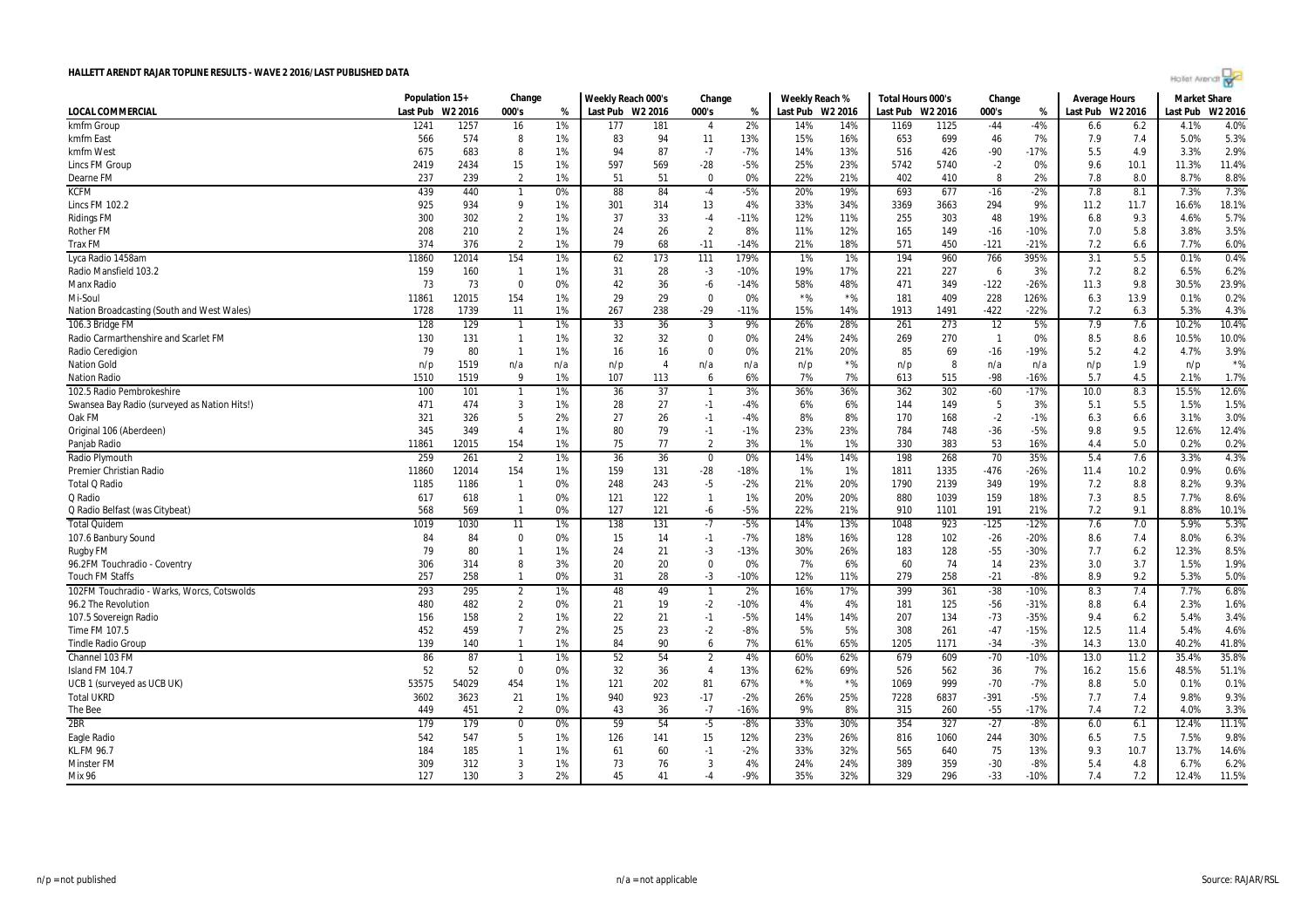

|                                                        | Population 15+ |         | Change           |     | Weekly Reach 000's |                | Change         |        | Weekly Reach % |                  | Total Hours 000's |      | Change                   |        | Average Hours    |      | <b>Market Share</b> |         |
|--------------------------------------------------------|----------------|---------|------------------|-----|--------------------|----------------|----------------|--------|----------------|------------------|-------------------|------|--------------------------|--------|------------------|------|---------------------|---------|
| LOCAL COMMERCIAL                                       | Last Pub       | W2 2016 | 000's            | %   | Last Pub W2 2016   |                | 000's          | %      |                | Last Pub W2 2016 | Last Pub W2 2016  |      | 000's                    | %      | Last Pub W2 2016 |      | Last Pub            | W2 2016 |
| kmfm Group                                             | 1241           | 1257    | 16               | 1%  | 177                | 181            | $\overline{4}$ | 2%     | 14%            | 14%              | 1169              | 1125 | $-44$                    | $-4%$  | 6.6              | 6.2  | 4.1%                | 4.0%    |
| kmfm East                                              | 566            | 574     | 8                | 1%  | 83                 | 94             | 11             | 13%    | 15%            | 16%              | 653               | 699  | 46                       | 7%     | 7.9              | 7.4  | 5.0%                | 5.3%    |
| kmfm West                                              | 675            | 683     | 8                | 1%  | 94                 | 87             | $-7$           | $-7%$  | 14%            | 13%              | 516               | 426  | $-90$                    | $-17%$ | 5.5              | 4.9  | 3.3%                | 2.9%    |
| Lincs FM Group                                         | 2419           | 2434    | 15               | 1%  | 597                | 569            | $-28$          | $-5%$  | 25%            | 23%              | 5742              | 5740 | $-2$                     | 0%     | 9.6              | 10.1 | 11.3%               | 11.4%   |
| Dearne FM                                              | 237            | 239     | $\overline{2}$   | 1%  | 51                 | 51             | $\Omega$       | 0%     | 22%            | 21%              | 402               | 410  | 8                        | 2%     | 7.8              | 8.0  | 8.7%                | 8.8%    |
| <b>KCFM</b>                                            | 439            | 440     | $\mathbf{1}$     | 0%  | 88                 | 84             | $-4$           | $-5%$  | 20%            | 19%              | 693               | 677  | $-16$                    | $-2%$  | 7.8              | 8.1  | 7.3%                | 7.3%    |
| <b>Lincs FM 102.2</b>                                  | 925            | 934     | 9                | 1%  | 301                | 314            | 13             | 4%     | 33%            | 34%              | 3369              | 3663 | 294                      | 9%     | 11.2             | 11.7 | 16.6%               | 18.1%   |
| <b>Ridings FM</b>                                      | 300            | 302     | $\overline{2}$   | 1%  | 37                 | 33             | $-4$           | $-11%$ | 12%            | 11%              | 255               | 303  | 48                       | 19%    | 6.8              | 9.3  | 4.6%                | 5.7%    |
| <b>Rother FM</b>                                       | 208            | 210     | $\overline{2}$   | 1%  | 24                 | 26             | $\overline{2}$ | 8%     | 11%            | 12%              | 165               | 149  | $-16$                    | $-10%$ | 7.0              | 5.8  | 3.8%                | 3.5%    |
| <b>Trax FM</b>                                         | 374            | 376     | $\overline{2}$   | 1%  | 79                 | 68             | $-11$          | $-14%$ | 21%            | 18%              | 571               | 450  | $-121$                   | $-21%$ | 7.2              | 6.6  | 7.7%                | 6.0%    |
|                                                        | 11860          | 12014   |                  | 1%  |                    | 173            | 111            | 179%   | 1%             |                  |                   |      | 766                      |        | 3.1              | 5.5  | 0.1%                | 0.4%    |
| Lyca Radio 1458am                                      |                |         | 154              |     | 62                 |                |                |        |                | 1%               | 194               | 960  |                          | 395%   |                  |      |                     |         |
| Radio Mansfield 103.2                                  | 159            | 160     | $\overline{1}$   | 1%  | 31                 | 28             | $-3$           | $-10%$ | 19%            | 17%              | 221               | 227  | 6                        | 3%     | 7.2              | 8.2  | 6.5%                | 6.2%    |
| Manx Radio                                             | 73             | 73      | $\Omega$         | 0%  | 42                 | 36             | -6             | $-14%$ | 58%            | 48%              | 471               | 349  | $-122$                   | $-26%$ | 11.3             | 9.8  | 30.5%               | 23.9%   |
| Mi-Soul                                                | 11861          | 12015   | 154              | 1%  | 29                 | 29             | $\Omega$       | 0%     | $*$ %          | $*$ %            | 181               | 409  | 228                      | 126%   | 6.3              | 13.9 | 0.1%                | 0.2%    |
| Nation Broadcasting (South and West Wales)             | 1728           | 1739    | 11               | 1%  | 267                | 238            | $-29$          | $-11%$ | 15%            | 14%              | 1913              | 1491 | $-422$                   | $-22%$ | 7.2              | 6.3  | 5.3%                | 4.3%    |
| 106.3 Bridge FM                                        | 128            | 129     | $\mathbf{1}$     | 1%  | 33                 | 36             | 3              | 9%     | 26%            | 28%              | 261               | 273  | 12                       | 5%     | 7.9              | 7.6  | 10.2%               | 10.4%   |
| Radio Carmarthenshire and Scarlet FM                   | 130            | 131     | $\overline{1}$   | 1%  | 32                 | 32             | $\Omega$       | 0%     | 24%            | 24%              | 269               | 270  | $\overline{\phantom{0}}$ | 0%     | 8.5              | 8.6  | 10.5%               | 10.0%   |
| Radio Ceredigion                                       | 79             | 80      | $\mathbf{1}$     | 1%  | 16                 | 16             | $\Omega$       | 0%     | 21%            | 20%              | 85                | 69   | $-16$                    | -19%   | 5.2              | 4.2  | 4.7%                | 3.9%    |
| <b>Nation Gold</b>                                     | n/p            | 1519    | n/a              | n/a | n/p                | $\overline{4}$ | n/a            | n/a    | n/p            | $*$ %            | n/p               | 8    | n/a                      | n/a    | n/p              | 1.9  | n/p                 | $*$ %   |
| <b>Nation Radio</b>                                    | 1510           | 1519    | 9                | 1%  | 107                | 113            | 6              | 6%     | 7%             | 7%               | 613               | 515  | -98                      | $-16%$ | 5.7              | 4.5  | 2.1%                | 1.7%    |
| 102.5 Radio Pembrokeshire                              | 100            | 101     | $\overline{1}$   | 1%  | 36                 | 37             | $\mathbf{1}$   | 3%     | 36%            | 36%              | 362               | 302  | $-60$                    | $-17%$ | 10.0             | 8.3  | 15.5%               | 12.6%   |
| Swansea Bay Radio (surveyed as Nation Hits!)           | 471            | 474     | $\mathbf{3}$     | 1%  | 28                 | 27             | $-1$           | -4%    | 6%             | 6%               | 144               | 149  | 5                        | 3%     | 5.1              | 5.5  | 1.5%                | 1.5%    |
| Oak FM                                                 | 321            | 326     | 5                | 2%  | 27                 | 26             | $-1$           | $-4%$  | 8%             | 8%               | 170               | 168  | $-2$                     | $-1%$  | 6.3              | 6.6  | 3.1%                | 3.0%    |
| Original 106 (Aberdeen)                                | 345            | 349     | $\overline{4}$   | 1%  | 80                 | 79             | $-1$           | $-1%$  | 23%            | 23%              | 784               | 748  | $-36$                    | $-5%$  | 9.8              | 9.5  | 12.6%               | 12.4%   |
| Panjab Radio                                           | 11861          | 12015   | 154              | 1%  | 75                 | 77             | $\overline{2}$ | 3%     | 1%             | 1%               | 330               | 383  | 53                       | 16%    | 4.4              | 5.0  | 0.2%                | 0.2%    |
| Radio Plymouth                                         | 259            | 261     | $\overline{2}$   | 1%  | 36                 | 36             | $\mathbf 0$    | 0%     | 14%            | 14%              | 198               | 268  | 70                       | 35%    | 5.4              | 7.6  | 3.3%                | 4.3%    |
| <b>Premier Christian Radio</b>                         | 11860          | 12014   | 154              | 1%  | 159                | 131            | $-28$          | $-18%$ | 1%             | 1%               | 1811              | 1335 | $-476$                   | $-26%$ | 11.4             | 10.2 | 0.9%                | 0.6%    |
| <b>Total Q Radio</b>                                   | 1185           | 1186    | $\mathbf{1}$     | 0%  | 248                | 243            | $-5$           | $-2%$  | 21%            | 20%              | 1790              | 2139 | 349                      | 19%    | 7.2              | 8.8  | 8.2%                | 9.3%    |
| Q Radio                                                | 617            | 618     | $\overline{1}$   | 0%  | 121                | 122            | $\mathbf{1}$   | 1%     | 20%            | 20%              | 880               | 1039 | 159                      | 18%    | 7.3              | 8.5  | 7.7%                | 8.6%    |
| Q Radio Belfast (was Citybeat)                         | 568            | 569     | $\mathbf{1}$     | 0%  | 127                | 121            | -6             | $-5%$  | 22%            | 21%              | 910               | 1101 | 191                      | 21%    | 7.2              | 9.1  | 8.8%                | 10.1%   |
| <b>Total Quidem</b>                                    | 1019           | 1030    | 11               | 1%  | 138                | 131            | $-7$           | $-5%$  | 14%            | 13%              | 1048              | 923  | $-125$                   | $-12%$ | 7.6              | 7.0  | 5.9%                | 5.3%    |
| 107.6 Banbury Sound                                    | 84             | 84      | $\Omega$         | 0%  | 15                 | 14             | $-1$           | $-7%$  | 18%            | 16%              | 128               | 102  | $-26$                    | $-20%$ | 8.6              | 7.4  | 8.0%                | 6.3%    |
|                                                        | 79             | 80      | $\overline{1}$   | 1%  | 24                 | 21             | $-3$           | $-13%$ | 30%            | 26%              | 183               | 128  | $-55$                    | $-30%$ | 7.7              | 6.2  | 12.3%               | 8.5%    |
| <b>Rugby FM</b>                                        | 306            | 314     | 8                | 3%  | 20                 | 20             | $\Omega$       | 0%     | 7%             | 6%               | 60                | 74   | 14                       | 23%    | 3.0              | 3.7  | 1.5%                | 1.9%    |
| 96.2FM Touchradio - Coventry<br><b>Touch FM Staffs</b> | 257            | 258     | $\mathbf{1}$     | 0%  | 31                 | 28             | $-3$           | $-10%$ | 12%            | 11%              | 279               | 258  | $-21$                    | $-8%$  | 8.9              | 9.2  | 5.3%                | 5.0%    |
|                                                        |                |         |                  |     |                    | 49             |                |        | 16%            | 17%              |                   |      |                          |        |                  |      |                     | 6.8%    |
| 102FM Touchradio - Warks, Worcs, Cotswolds             | 293            | 295     | $\overline{2}$   | 1%  | 48                 |                | $\mathbf{1}$   | 2%     |                |                  | 399               | 361  | $-38$                    | $-10%$ | 8.3              | 7.4  | 7.7%                |         |
| 96.2 The Revolution                                    | 480            | 482     | $\overline{2}$   | 0%  | 21                 | 19             | $-2$           | $-10%$ | 4%             | 4%               | 181               | 125  | $-56$                    | $-31%$ | 8.8              | 6.4  | 2.3%                | 1.6%    |
| 107.5 Sovereign Radio                                  | 156            | 158     | $\overline{2}$   | 1%  | 22                 | 21             | $-1$           | $-5%$  | 14%            | 14%              | 207               | 134  | $-73$                    | $-35%$ | 9.4              | 6.2  | 5.4%                | 3.4%    |
| Time FM 107.5                                          | 452            | 459     | $\overline{7}$   | 2%  | 25                 | 23             | $-2$           | $-8%$  | 5%             | 5%               | 308               | 261  | $-47$                    | $-15%$ | 12.5             | 11.4 | 5.4%                | 4.6%    |
| <b>Tindle Radio Group</b>                              | 139            | 140     | $\overline{1}$   | 1%  | 84                 | 90             | 6              | 7%     | 61%            | 65%              | 1205              | 1171 | $-34$                    | $-3%$  | 14.3             | 13.0 | 40.2%               | 41.8%   |
| Channel 103 FM                                         | 86             | 87      | $\mathbf{1}$     | 1%  | 52                 | 54             | $\overline{2}$ | 4%     | 60%            | 62%              | 679               | 609  | $-70$                    | $-10%$ | 13.0             | 11.2 | 35.4%               | 35.8%   |
| Island FM 104.7                                        | 52             | 52      | $\mathbf 0$      | 0%  | 32                 | 36             | $\overline{4}$ | 13%    | 62%            | 69%              | 526               | 562  | 36                       | 7%     | 16.2             | 15.6 | 48.5%               | 51.1%   |
| UCB 1 (surveyed as UCB UK)                             | 53575          | 54029   | 454              | 1%  | 121                | 202            | 81             | 67%    | $*$ %          | $*$ %            | 1069              | 999  | $-70$                    | $-7%$  | 8.8              | 5.0  | 0.1%                | 0.1%    |
| <b>Total UKRD</b>                                      | 3602           | 3623    | 21               | 1%  | 940                | 923            | $-17$          | $-2%$  | 26%            | 25%              | 7228              | 6837 | $-391$                   | $-5%$  | 7.7              | 7.4  | 9.8%                | 9.3%    |
| The Bee                                                | 449            | 451     | $\overline{2}$   | 0%  | 43                 | 36             | $-7$           | $-16%$ | 9%             | 8%               | 315               | 260  | $-55$                    | $-17%$ | 7.4              | 7.2  | 4.0%                | 3.3%    |
| 2BR                                                    | 179            | 179     | $\boldsymbol{0}$ | 0%  | 59                 | 54             | $-5$           | $-8%$  | 33%            | 30%              | 354               | 327  | $-27$                    | $-8%$  | 6.0              | 6.1  | 12.4%               | 11.1%   |
| Eagle Radio                                            | 542            | 547     | 5                | 1%  | 126                | 141            | 15             | 12%    | 23%            | 26%              | 816               | 1060 | 244                      | 30%    | 6.5              | 7.5  | 7.5%                | 9.8%    |
| KL.FM 96.7                                             | 184            | 185     | $\mathbf{1}$     | 1%  | 61                 | 60             | -1             | $-2%$  | 33%            | 32%              | 565               | 640  | 75                       | 13%    | 9.3              | 10.7 | 13.7%               | 14.6%   |
| Minster FM                                             | 309            | 312     | 3                | 1%  | 73                 | 76             | 3              | 4%     | 24%            | 24%              | 389               | 359  | $-30$                    | $-8%$  | 5.4              | 4.8  | 6.7%                | 6.2%    |
| <b>Mix 96</b>                                          | 127            | 130     | 3                | 2%  | 45                 | 41             | $-4$           | $-9%$  | 35%            | 32%              | 329               | 296  | $-33$                    | $-10%$ | 7.4              | 7.2  | 12.4%               | 11.5%   |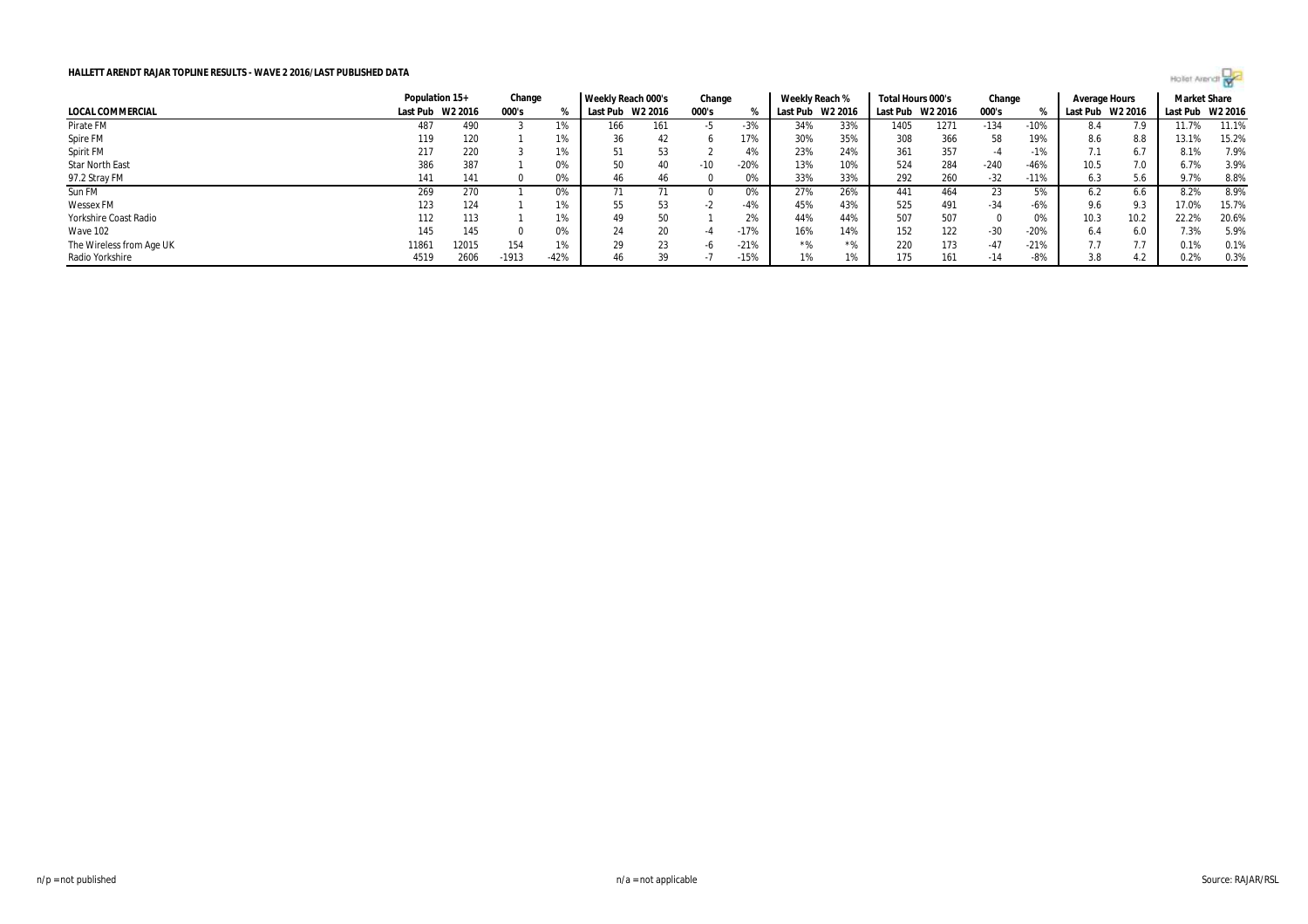

|                          | Population 15+   |       | Change  |        | Weekly Reach 000's |     | Change |        | Weekly Reach % |         | Total Hours 000's |         | Change |        | Average Hours    |      | <b>Market Share</b> |       |
|--------------------------|------------------|-------|---------|--------|--------------------|-----|--------|--------|----------------|---------|-------------------|---------|--------|--------|------------------|------|---------------------|-------|
| <b>LOCAL COMMERCIAL</b>  | Last Pub W2 2016 |       | 000's   | ℀      | Last Pub W2 2016   |     | 000's  |        | Last Pub       | W2 2016 | Last Pub          | W2 2016 | 000's  |        | Last Pub W2 2016 |      | Last Pub W2 2016    |       |
| Pirate FM                | 487              | 490   |         | 1%     | 166                | 161 | -5     | $-3%$  | 34%            | 33%     | 1405              | 1271    | $-134$ | $-10%$ | 8.4              |      | 11.7%               | 11.1% |
| Spire FM                 | 119              | 120   |         | 1%     | 36                 | 42  |        | 17%    | 30%            | 35%     | 308               | 366     | 58     | 19%    | 8.6              | 8.8  | 13.1%               | 15.2% |
| Spirit FM                | 217              | 220   |         | 1%     |                    | 53  |        | 4%     | 23%            | 24%     | 361               | 357     |        | -1%    | 7.1              | 6.7  | 8.1%                | 7.9%  |
| <b>Star North East</b>   | 386              | 387   |         | 0%     | 50                 | 40  | $-10$  | $-20%$ | 13%            | 10%     | 524               | 284     | $-240$ | $-46%$ | 10.5             | 7.0  | 6.7%                | 3.9%  |
| 97.2 Stray FM            | 141              | 141   |         | 0%     | 46                 | 46  |        | 0%     | 33%            | 33%     | 292               | 260     | $-32$  | $-11%$ | 6.3              | 5.6  | 9.7%                | 8.8%  |
| Sun FM                   | 269              | 270   |         | 0%     |                    |     |        | 0%     | 27%            | 26%     | 441               | 464     | 23     | 5%     |                  | 0.6  | 8.2%                | 8.9%  |
| <b>Wessex FM</b>         | 123              | 124   |         | 1%     | 55                 | 53  | - 1    | $-4%$  | 45%            | 43%     | 525               | 491     | -34    | -6%    | 9.6              | 9.3  | 17.0%               | 15.7% |
| Yorkshire Coast Radio    | 112              | 113   |         | 1%     | 49                 | 50  |        | 2%     | 44%            | 44%     | 507               | 507     |        | 0%     | 10.3             | 10.2 | 22.2%               | 20.6% |
| Wave 102                 | 145              | 145   |         | 0%     | 24                 | 20  | -4     | $-17%$ | 16%            | 14%     | 152               | 122     | $-30$  | $-20%$ | 6.4              | 6.0  | 7.3%                | 5.9%  |
| The Wireless from Age UK | 11861            | 12015 | 154     | 1%     | 29                 | 23  |        | $-21%$ | $*$ %          | $*$ %   | 220               | 173     | -47    | $-21%$ |                  |      | 0.1%                | 0.1%  |
| Radio Yorkshire          | 4519             | 2606  | $-1913$ | $-42%$ | 46                 | 39  |        | $-15%$ | 1%             |         | 175               | 161     | $-14$  | -8%    | 3.8              | 4.2  | 0.2%                | 0.3%  |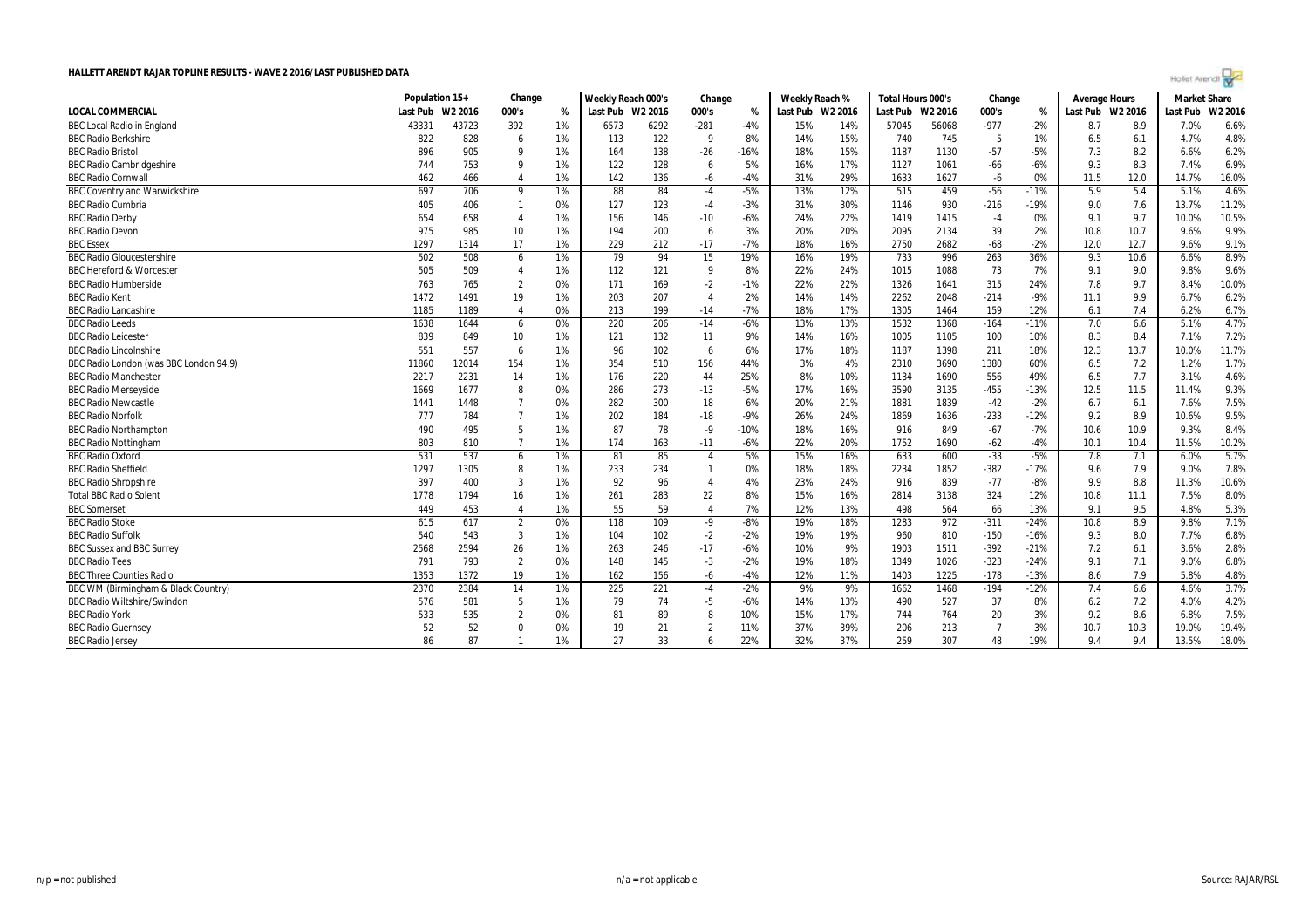

|                                        |       | Population 15+<br>Last Pub W2 2016 |                |       | Weekly Reach 000's<br>Last Pub W2 2016 |      | Change<br>000's<br>% |        | Weekly Reach %<br>Last Pub W2 2016 |     | Total Hours 000's<br>Last Pub W2 2016 |       | Change<br>000's<br>% |        | <b>Average Hours</b><br>Last Pub W2 2016 |      | <b>Market Share</b><br>Last Pub<br>W2 2016 |       |
|----------------------------------------|-------|------------------------------------|----------------|-------|----------------------------------------|------|----------------------|--------|------------------------------------|-----|---------------------------------------|-------|----------------------|--------|------------------------------------------|------|--------------------------------------------|-------|
| <b>LOCAL COMMERCIAL</b>                |       |                                    |                | %     |                                        |      |                      |        |                                    |     |                                       |       |                      |        |                                          |      |                                            |       |
| <b>BBC Local Radio in England</b>      | 43331 | 43723                              | 392            | 1%    | 6573                                   | 6292 | $-281$               | $-4%$  | 15%                                | 14% | 57045                                 | 56068 | $-977$               | $-2%$  | 8.7                                      | 8.9  | 7.0%                                       | 6.6%  |
| <b>BBC Radio Berkshire</b>             | 822   | 828                                | 6              | 1%    | 113                                    | 122  | - 9                  | 8%     | 14%                                | 15% | 740                                   | 745   | -5                   | 1%     | 6.5                                      | 6.1  | 4.7%                                       | 4.8%  |
| <b>BBC Radio Bristol</b>               | 896   | 905                                | q              | 1%    | 164                                    | 138  | $-26$                | $-16%$ | 18%                                | 15% | 1187                                  | 1130  | $-57$                | $-5%$  | 7.3                                      | 8.2  | 6.6%                                       | 6.2%  |
| <b>BBC Radio Cambridgeshire</b>        | 744   | 753                                | g              | 1%    | 122                                    | 128  | 6                    | 5%     | 16%                                | 17% | 1127                                  | 1061  | $-66$                | $-6%$  | 9.3                                      | 8.3  | 7.4%                                       | 6.9%  |
| <b>BBC Radio Cornwall</b>              | 462   | 466                                | $\overline{4}$ | 1%    | 142                                    | 136  | $-6$                 | $-4%$  | 31%                                | 29% | 1633                                  | 1627  | $-6$                 | 0%     | 11.5                                     | 12.0 | 14.7%                                      | 16.0% |
| <b>BBC Coventry and Warwickshire</b>   | 697   | 706                                | 9              | 1%    | 88                                     | 84   | $-4$                 | $-5%$  | 13%                                | 12% | 515                                   | 459   | $-56$                | $-11%$ | 5.9                                      | 5.4  | 5.1%                                       | 4.6%  |
| <b>BBC Radio Cumbria</b>               | 405   | 406                                | $\overline{1}$ | 0%    | 127                                    | 123  | $-4$                 | $-3%$  | 31%                                | 30% | 1146                                  | 930   | $-216$               | $-19%$ | 9.0                                      | 7.6  | 13.7%                                      | 11.2% |
| <b>BBC Radio Derby</b>                 | 654   | 658                                | $\overline{4}$ | 1%    | 156                                    | 146  | $-10$                | $-6%$  | 24%                                | 22% | 1419                                  | 1415  | $-4$                 | 0%     | 9.1                                      | 9.7  | 10.0%                                      | 10.5% |
| <b>BBC Radio Devon</b>                 | 975   | 985                                | 10             | 1%    | 194                                    | 200  | 6                    | 3%     | 20%                                | 20% | 2095                                  | 2134  | 39                   | 2%     | 10.8                                     | 10.7 | 9.6%                                       | 9.9%  |
| <b>BBC Essex</b>                       | 1297  | 1314                               | 17             | 1%    | 229                                    | 212  | $-17$                | $-7%$  | 18%                                | 16% | 2750                                  | 2682  | $-68$                | $-2%$  | 12.0                                     | 12.7 | 9.6%                                       | 9.1%  |
| <b>BBC Radio Gloucestershire</b>       | 502   | 508                                | 6              | 1%    | 79                                     | 94   | 15                   | 19%    | 16%                                | 19% | 733                                   | 996   | 263                  | 36%    | 9.3                                      | 10.6 | 6.6%                                       | 8.9%  |
| <b>BBC Hereford &amp; Worcester</b>    | 505   | 509                                | $\overline{4}$ | 1%    | 112                                    | 121  | - 9                  | 8%     | 22%                                | 24% | 1015                                  | 1088  | 73                   | 7%     | 9.1                                      | 9.0  | 9.8%                                       | 9.6%  |
| <b>BBC Radio Humberside</b>            | 763   | 765                                | $\overline{2}$ | 0%    | 171                                    | 169  | $-2$                 | $-1%$  | 22%                                | 22% | 1326                                  | 1641  | 315                  | 24%    | 7.8                                      | 9.7  | 8.4%                                       | 10.0% |
| <b>BBC Radio Kent</b>                  | 1472  | 1491                               | 19             | 1%    | 203                                    | 207  | $\overline{4}$       | 2%     | 14%                                | 14% | 2262                                  | 2048  | $-214$               | $-9%$  | 11.1                                     | 9.9  | 6.7%                                       | 6.2%  |
| <b>BBC Radio Lancashire</b>            | 1185  | 1189                               | $\overline{4}$ | 0%    | 213                                    | 199  | $-14$                | $-7%$  | 18%                                | 17% | 1305                                  | 1464  | 159                  | 12%    | 6.1                                      | 7.4  | 6.2%                                       | 6.7%  |
| <b>BBC Radio Leeds</b>                 | 1638  | 1644                               | 6              | 0%    | 220                                    | 206  | $-14$                | $-6%$  | 13%                                | 13% | 1532                                  | 1368  | $-164$               | $-11%$ | 7.0                                      | 6.6  | 5.1%                                       | 4.7%  |
| <b>BBC Radio Leicester</b>             | 839   | 849                                | 10             | 1%    | 121                                    | 132  | 11                   | 9%     | 14%                                | 16% | 1005                                  | 1105  | 100                  | 10%    | 8.3                                      | 8.4  | 7.1%                                       | 7.2%  |
| <b>BBC Radio Lincolnshire</b>          | 551   | 557                                | 6              | 1%    | 96                                     | 102  | 6                    | 6%     | 17%                                | 18% | 1187                                  | 1398  | 211                  | 18%    | 12.3                                     | 13.7 | 10.0%                                      | 11.7% |
| BBC Radio London (was BBC London 94.9) | 11860 | 12014                              | 154            | 1%    | 354                                    | 510  | 156                  | 44%    | 3%                                 | 4%  | 2310                                  | 3690  | 1380                 | 60%    | 6.5                                      | 7.2  | 1.2%                                       | 1.7%  |
| <b>BBC Radio Manchester</b>            | 2217  | 2231                               | 14             | 1%    | 176                                    | 220  | 44                   | 25%    | 8%                                 | 10% | 1134                                  | 1690  | 556                  | 49%    | 6.5                                      | 7.7  | 3.1%                                       | 4.6%  |
| <b>BBC Radio Merseyside</b>            | 1669  | 1677                               | 8              | 0%    | 286                                    | 273  | $-13$                | $-5%$  | 17%                                | 16% | 3590                                  | 3135  | $-455$               | $-13%$ | 12.5                                     | 11.5 | 11.4%                                      | 9.3%  |
| <b>BBC Radio Newcastle</b>             | 1441  | 1448                               | - 7            | 0%    | 282                                    | 300  | 18                   | 6%     | 20%                                | 21% | 1881                                  | 1839  | $-42$                | $-2%$  | 6.7                                      | 6.1  | 7.6%                                       | 7.5%  |
| <b>BBC Radio Norfolk</b>               | 777   | 784                                | $\overline{7}$ | 1%    | 202                                    | 184  | $-18$                | $-9%$  | 26%                                | 24% | 1869                                  | 1636  | $-233$               | $-12%$ | 9.2                                      | 8.9  | 10.6%                                      | 9.5%  |
| <b>BBC Radio Northampton</b>           | 490   | 495                                | 5              | 1%    | 87                                     | 78   | $-9$                 | $-10%$ | 18%                                | 16% | 916                                   | 849   | $-67$                | $-7%$  | 10.6                                     | 10.9 | 9.3%                                       | 8.4%  |
| <b>BBC Radio Nottingham</b>            | 803   | 810                                | $\overline{7}$ | 1%    | 174                                    | 163  | $-11$                | $-6%$  | 22%                                | 20% | 1752                                  | 1690  | $-62$                | $-4%$  | 10.1                                     | 10.4 | 11.5%                                      | 10.2% |
| <b>BBC Radio Oxford</b>                | 531   | 537                                | 6              | 1%    | 81                                     | 85   | $\overline{4}$       | 5%     | 15%                                | 16% | 633                                   | 600   | $-33$                | $-5%$  | 7.8                                      | 7.1  | 6.0%                                       | 5.7%  |
| <b>BBC Radio Sheffield</b>             | 1297  | 1305                               | 8              | 1%    | 233                                    | 234  |                      | 0%     | 18%                                | 18% | 2234                                  | 1852  | $-382$               | $-17%$ | 9.6                                      | 7.9  | 9.0%                                       | 7.8%  |
| <b>BBC Radio Shropshire</b>            | 397   | 400                                | $\overline{3}$ | 1%    | 92                                     | 96   | $\overline{4}$       | 4%     | 23%                                | 24% | 916                                   | 839   | $-77$                | $-8%$  | 9.9                                      | 8.8  | 11.3%                                      | 10.6% |
| <b>Total BBC Radio Solent</b>          | 1778  | 1794                               | 16             | 1%    | 261                                    | 283  | 22                   | 8%     | 15%                                | 16% | 2814                                  | 3138  | 324                  | 12%    | 10.8                                     | 11.1 | 7.5%                                       | 8.0%  |
| <b>BBC Somerset</b>                    | 449   | 453                                | $\overline{4}$ | 1%    | 55                                     | 59   | $\overline{4}$       | 7%     | 12%                                | 13% | 498                                   | 564   | 66                   | 13%    | 9.1                                      | 9.5  | 4.8%                                       | 5.3%  |
| <b>BBC Radio Stoke</b>                 | 615   | 617                                | $\overline{2}$ | $0\%$ | $\overline{118}$                       | 109  | $-9$                 | $-8%$  | 19%                                | 18% | 1283                                  | 972   | $-311$               | $-24%$ | 10.8                                     | 8.9  | 9.8%                                       | 7.1%  |
| <b>BBC Radio Suffolk</b>               | 540   | 543                                | $\overline{3}$ | 1%    | 104                                    | 102  | $-2$                 | $-2%$  | 19%                                | 19% | 960                                   | 810   | $-150$               | $-16%$ | 9.3                                      | 8.0  | 7.7%                                       | 6.8%  |
| <b>BBC Sussex and BBC Surrey</b>       | 2568  | 2594                               | 26             | 1%    | 263                                    | 246  | $-17$                | $-6%$  | 10%                                | 9%  | 1903                                  | 1511  | $-392$               | $-21%$ | 7.2                                      | 6.1  | 3.6%                                       | 2.8%  |
| <b>BBC Radio Tees</b>                  | 791   | 793                                | $\overline{2}$ | 0%    | 148                                    | 145  | $-3$                 | $-2%$  | 19%                                | 18% | 1349                                  | 1026  | $-323$               | $-24%$ | 9.1                                      | 7.1  | 9.0%                                       | 6.8%  |
| <b>BBC Three Counties Radio</b>        | 1353  | 1372                               | 19             | 1%    | 162                                    | 156  | $-6$                 | $-4%$  | 12%                                | 11% | 1403                                  | 1225  | $-178$               | $-13%$ | 8.6                                      | 7.9  | 5.8%                                       | 4.8%  |
| BBC WM (Birmingham & Black Country)    | 2370  | 2384                               | 14             | 1%    | 225                                    | 221  | $-4$                 | $-2%$  | 9%                                 | 9%  | 1662                                  | 1468  | $-194$               | $-12%$ | 7.4                                      | 6.6  | 4.6%                                       | 3.7%  |
| <b>BBC Radio Wiltshire/Swindon</b>     | 576   | 581                                | 5              | $1\%$ | 79                                     | 74   | $-5$                 | $-6%$  | 14%                                | 13% | 490                                   | 527   | 37                   | 8%     | 6.2                                      | 7.2  | 4.0%                                       | 4.2%  |
| <b>BBC Radio York</b>                  | 533   | 535                                | $\overline{2}$ | 0%    | 81                                     | 89   | 8                    | 10%    | 15%                                | 17% | 744                                   | 764   | 20                   | 3%     | 9.2                                      | 8.6  | 6.8%                                       | 7.5%  |
| <b>BBC Radio Guernsey</b>              | 52    | 52                                 | $\Omega$       | 0%    | 19                                     | 21   | $\overline{2}$       | 11%    | 37%                                | 39% | 206                                   | 213   |                      | 3%     | 10.7                                     | 10.3 | 19.0%                                      | 19.4% |
| <b>BBC Radio Jersey</b>                | 86    | 87                                 |                | 1%    | 27                                     | 33   | 6                    | 22%    | 32%                                | 37% | 259                                   | 307   | 48                   | 19%    | 9.4                                      | 9.4  | 13.5%                                      | 18.0% |